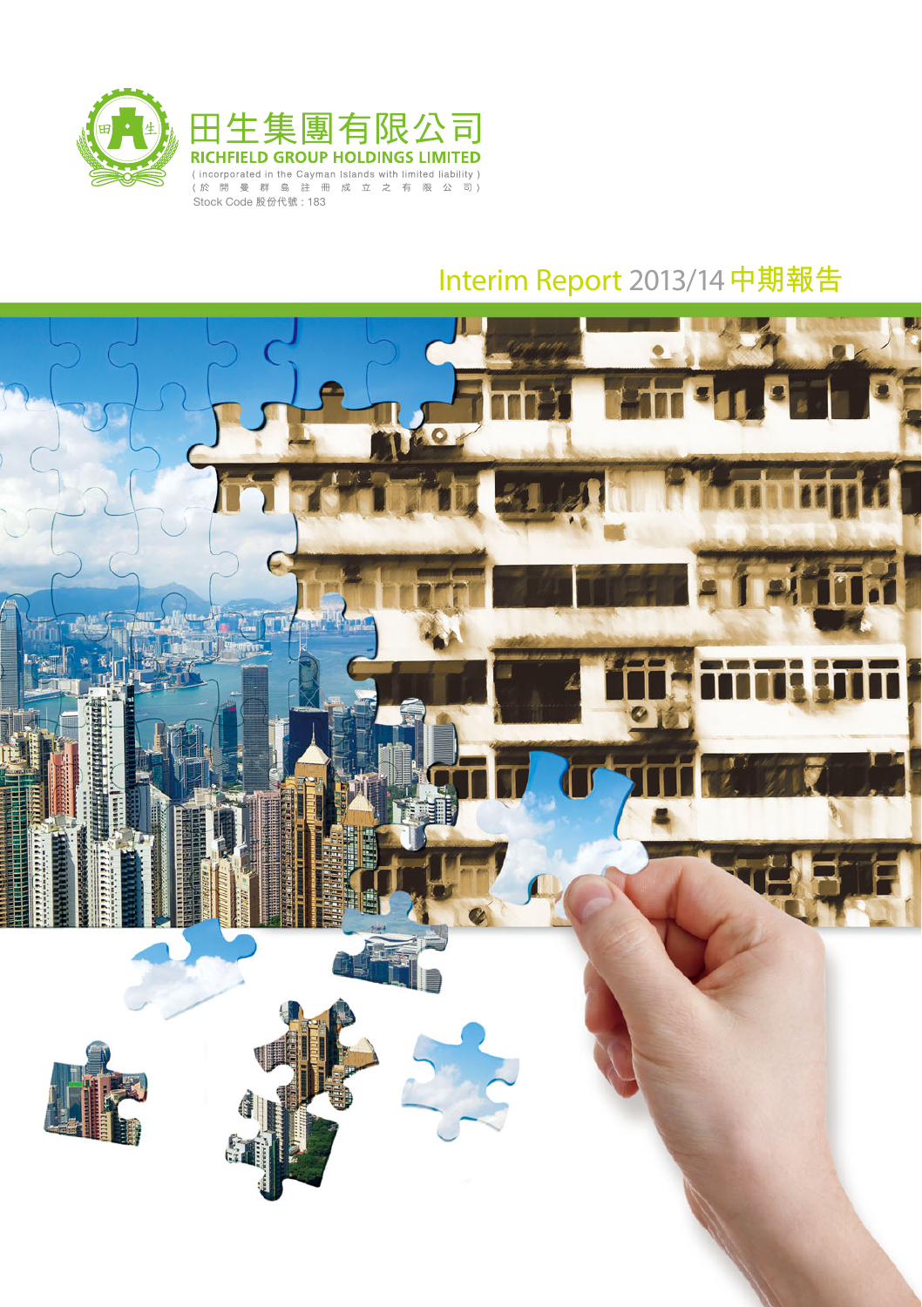

# Interim Report 2013/14**中期報告**

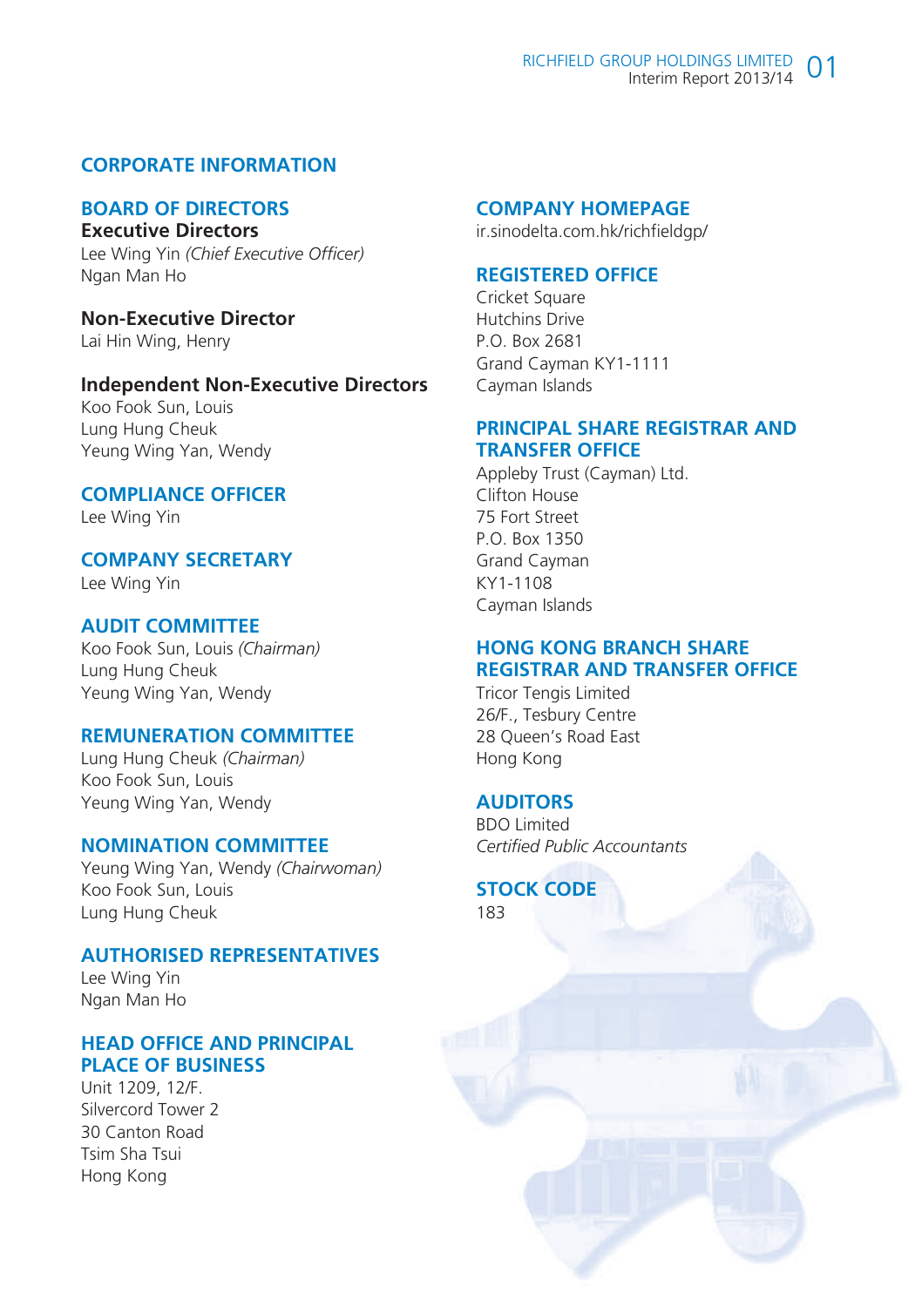## **CORPORATE INFORMATION**

#### **BOARD OF DIRECTORS Executive Directors**

Lee Wing Yin *(Chief Executive Officer)* Ngan Man Ho

**Non-Executive Director** Lai Hin Wing, Henry

#### **Independent Non-Executive Directors**

Koo Fook Sun, Louis Lung Hung Cheuk Yeung Wing Yan, Wendy

# **COMPLIANCE OFFICER**

Lee Wing Yin

# **COMPANY SECRETARY**

Lee Wing Yin

## **AUDIT COMMITTEE**

Koo Fook Sun, Louis *(Chairman)* Lung Hung Cheuk Yeung Wing Yan, Wendy

#### **REMUNERATION COMMITTEE**

Lung Hung Cheuk *(Chairman)* Koo Fook Sun, Louis Yeung Wing Yan, Wendy

#### **NOMINATION COMMITTEE**

Yeung Wing Yan, Wendy *(Chairwoman)* Koo Fook Sun, Louis Lung Hung Cheuk

#### **AUTHORISED REPRESENTATIVES**

Lee Wing Yin Ngan Man Ho

#### **HEAD OFFICE AND PRINCIPAL PLACE OF BUSINESS**

Unit 1209, 12/F. Silvercord Tower 2 30 Canton Road Tsim Sha Tsui Hong Kong

#### **COMPANY HOMEPAGE**

ir.sinodelta.com.hk/richfieldgp/

#### **REGISTERED OFFICE**

Cricket Square Hutchins Drive P.O. Box 2681 Grand Cayman KY1-1111 Cayman Islands

#### **PRINCIPAL SHARE REGISTRAR AND TRANSFER OFFICE**

Appleby Trust (Cayman) Ltd. Clifton House 75 Fort Street P.O. Box 1350 Grand Cayman KY1-1108 Cayman Islands

#### **HONG KONG BRANCH SHARE REGISTRAR AND TRANSFER OFFICE**

Tricor Tengis Limited 26/F., Tesbury Centre 28 Queen's Road East Hong Kong

#### **AUDITORS**

BDO Limited *Certified Public Accountants*

#### **STOCK CODE** 183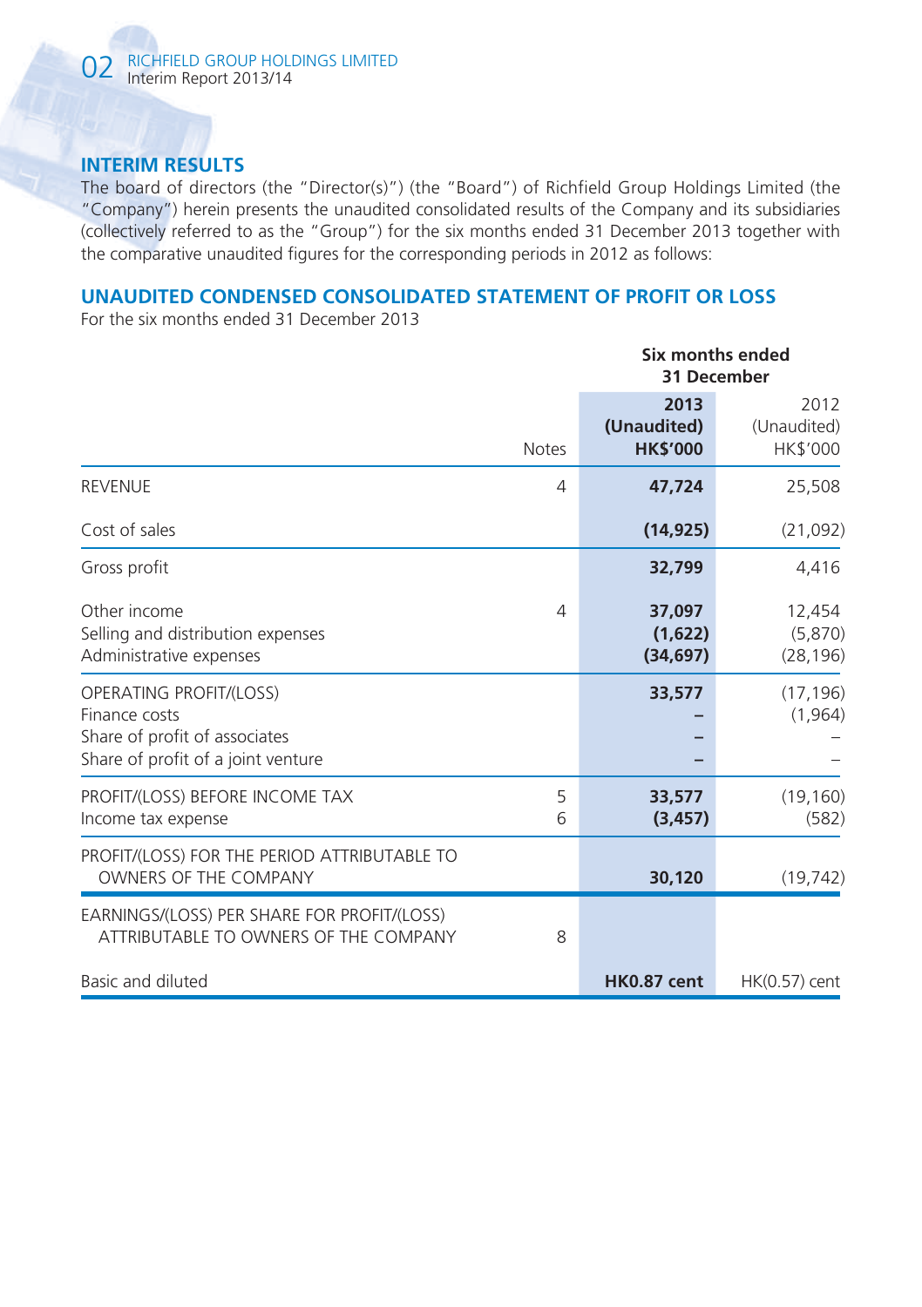# **INTERIM RESULTS**

The board of directors (the "Director(s)") (the "Board") of Richfield Group Holdings Limited (the "Company") herein presents the unaudited consolidated results of the Company and its subsidiaries (collectively referred to as the "Group") for the six months ended 31 December 2013 together with the comparative unaudited figures for the corresponding periods in 2012 as follows:

# **UNAUDITED CONDENSED CONSOLIDATED STATEMENT OF PROFIT OR LOSS**

For the six months ended 31 December 2013

|                                                                                                                 |              | Six months ended<br>31 December        |                                        |  |
|-----------------------------------------------------------------------------------------------------------------|--------------|----------------------------------------|----------------------------------------|--|
|                                                                                                                 | <b>Notes</b> | 2013<br>(Unaudited)<br><b>HK\$'000</b> | 2012<br>(Unaudited)<br><b>HK\$'000</b> |  |
| <b>REVENUE</b>                                                                                                  | 4            | 47,724                                 | 25,508                                 |  |
| Cost of sales                                                                                                   |              | (14, 925)                              | (21,092)                               |  |
| Gross profit                                                                                                    |              | 32,799                                 | 4,416                                  |  |
| Other income<br>Selling and distribution expenses<br>Administrative expenses                                    | 4            | 37,097<br>(1,622)<br>(34, 697)         | 12,454<br>(5,870)<br>(28, 196)         |  |
| OPERATING PROFIT/(LOSS)<br>Finance costs<br>Share of profit of associates<br>Share of profit of a joint venture |              | 33,577                                 | (17, 196)<br>(1, 964)                  |  |
| PROFIT/(LOSS) BEFORE INCOME TAX<br>Income tax expense                                                           | 5<br>6       | 33,577<br>(3, 457)                     | (19, 160)<br>(582)                     |  |
| PROFIT/(LOSS) FOR THE PERIOD ATTRIBUTABLE TO<br>OWNERS OF THE COMPANY                                           |              | 30,120                                 | (19, 742)                              |  |
| EARNINGS/(LOSS) PER SHARE FOR PROFIT/(LOSS)<br>ATTRIBUTABLE TO OWNERS OF THE COMPANY                            | 8            |                                        |                                        |  |
| Basic and diluted                                                                                               |              | <b>HK0.87 cent</b>                     | $HK(0.57)$ cent                        |  |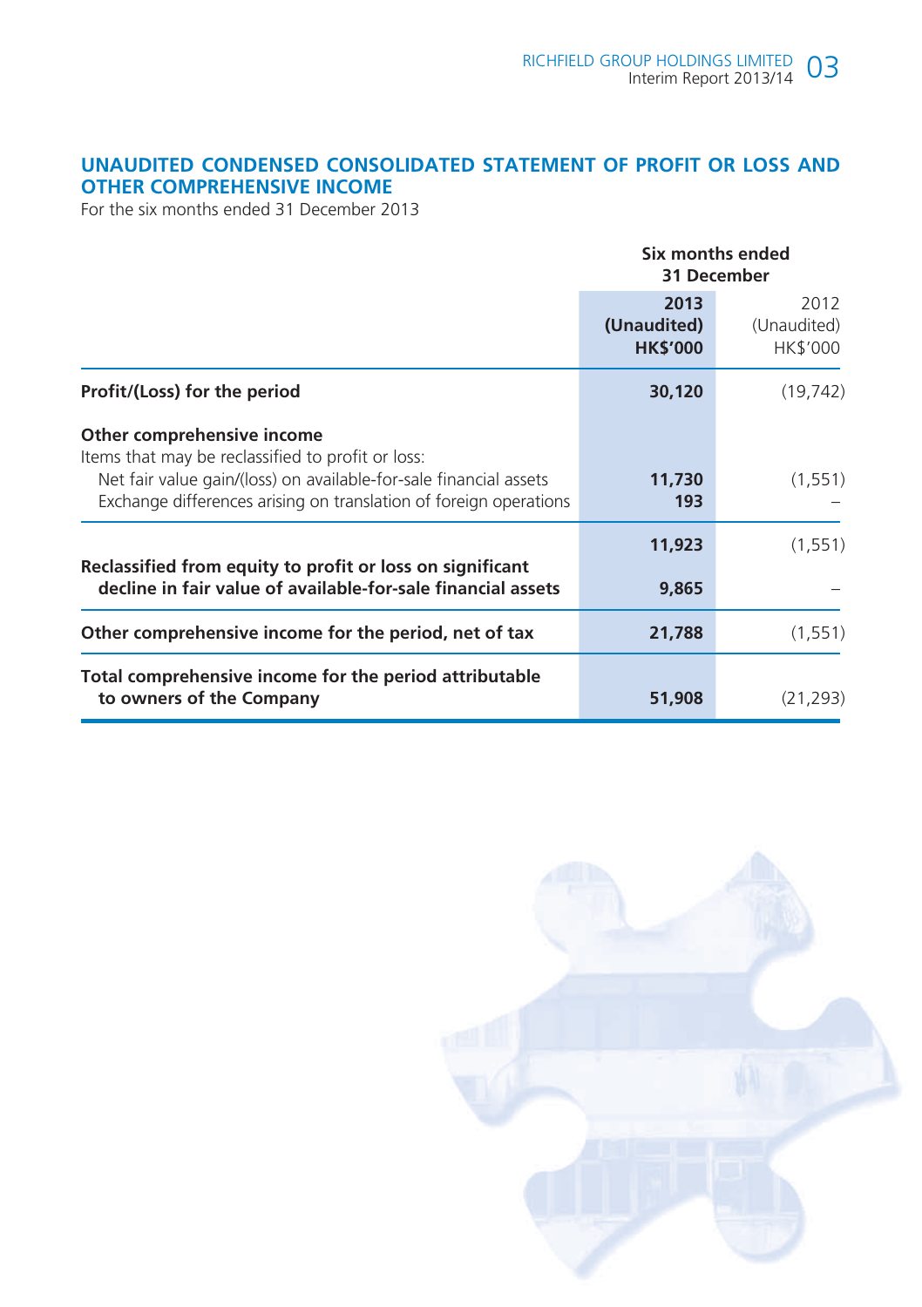# **UNAUDITED CONDENSED CONSOLIDATED STATEMENT OF PROFIT OR LOSS AND OTHER COMPREHENSIVE INCOME**

For the six months ended 31 December 2013

|                                                                                                                                                                                                                           | Six months ended<br>31 December        |                                 |  |
|---------------------------------------------------------------------------------------------------------------------------------------------------------------------------------------------------------------------------|----------------------------------------|---------------------------------|--|
|                                                                                                                                                                                                                           | 2013<br>(Unaudited)<br><b>HK\$'000</b> | 2012<br>(Unaudited)<br>HK\$'000 |  |
| Profit/(Loss) for the period                                                                                                                                                                                              | 30,120                                 | (19, 742)                       |  |
| Other comprehensive income<br>Items that may be reclassified to profit or loss:<br>Net fair value gain/(loss) on available-for-sale financial assets<br>Exchange differences arising on translation of foreign operations | 11,730<br>193                          | (1, 551)                        |  |
| Reclassified from equity to profit or loss on significant                                                                                                                                                                 | 11,923                                 | (1, 551)                        |  |
| decline in fair value of available-for-sale financial assets                                                                                                                                                              | 9,865                                  |                                 |  |
| Other comprehensive income for the period, net of tax                                                                                                                                                                     | 21,788                                 | (1, 551)                        |  |
| Total comprehensive income for the period attributable<br>to owners of the Company                                                                                                                                        | 51,908                                 | (21, 293)                       |  |

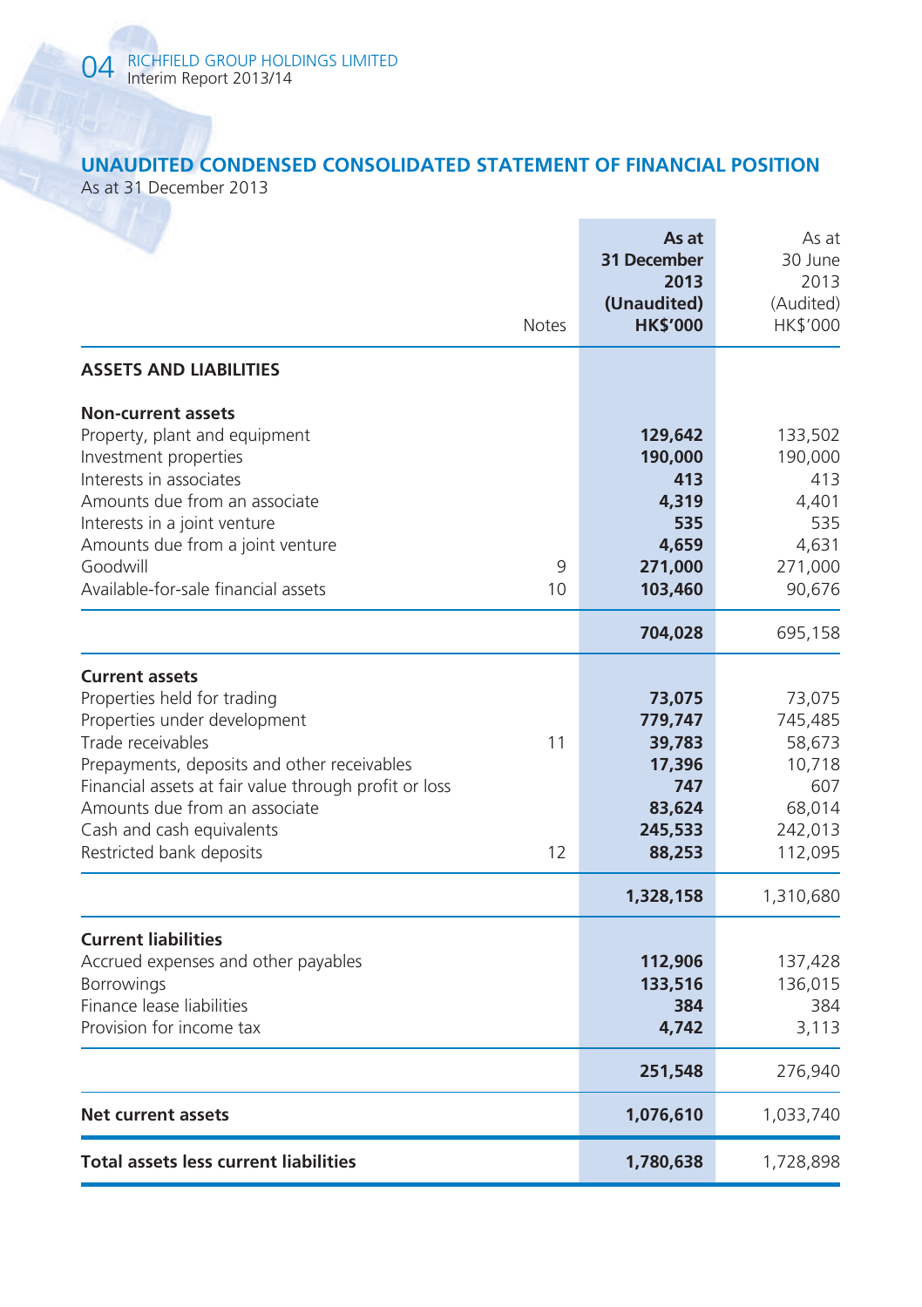# **UNAUDITED CONDENSED CONSOLIDATED STATEMENT OF FINANCIAL POSITION**

As at 31 December 2013

|                                                                                                                                                                                                                                                                                                             | <b>Notes</b> | As at<br>31 December<br>2013<br>(Unaudited)<br><b>HK\$'000</b>              | As at<br>30 June<br>2013<br>(Audited)<br>HK\$'000                            |
|-------------------------------------------------------------------------------------------------------------------------------------------------------------------------------------------------------------------------------------------------------------------------------------------------------------|--------------|-----------------------------------------------------------------------------|------------------------------------------------------------------------------|
| <b>ASSETS AND LIABILITIES</b>                                                                                                                                                                                                                                                                               |              |                                                                             |                                                                              |
| <b>Non-current assets</b><br>Property, plant and equipment<br>Investment properties<br>Interests in associates<br>Amounts due from an associate<br>Interests in a joint venture<br>Amounts due from a joint venture<br>Goodwill<br>Available-for-sale financial assets                                      | 9<br>10      | 129,642<br>190,000<br>413<br>4,319<br>535<br>4.659<br>271,000<br>103,460    | 133,502<br>190,000<br>413<br>4,401<br>535<br>4,631<br>271,000<br>90,676      |
|                                                                                                                                                                                                                                                                                                             |              | 704,028                                                                     | 695,158                                                                      |
| <b>Current assets</b><br>Properties held for trading<br>Properties under development<br>Trade receivables<br>Prepayments, deposits and other receivables<br>Financial assets at fair value through profit or loss<br>Amounts due from an associate<br>Cash and cash equivalents<br>Restricted bank deposits | 11<br>12     | 73,075<br>779,747<br>39,783<br>17,396<br>747<br>83,624<br>245,533<br>88,253 | 73,075<br>745,485<br>58,673<br>10,718<br>607<br>68,014<br>242,013<br>112,095 |
|                                                                                                                                                                                                                                                                                                             |              | 1,328,158                                                                   | 1,310,680                                                                    |
| <b>Current liabilities</b><br>Accrued expenses and other payables<br>Borrowings<br>Finance lease liabilities<br>Provision for income tax                                                                                                                                                                    |              | 112,906<br>133,516<br>384<br>4,742<br>251,548                               | 137,428<br>136,015<br>384<br>3,113<br>276,940                                |
| Net current assets                                                                                                                                                                                                                                                                                          |              | 1,076,610                                                                   | 1,033,740                                                                    |
| <b>Total assets less current liabilities</b>                                                                                                                                                                                                                                                                |              | 1,780,638                                                                   | 1,728,898                                                                    |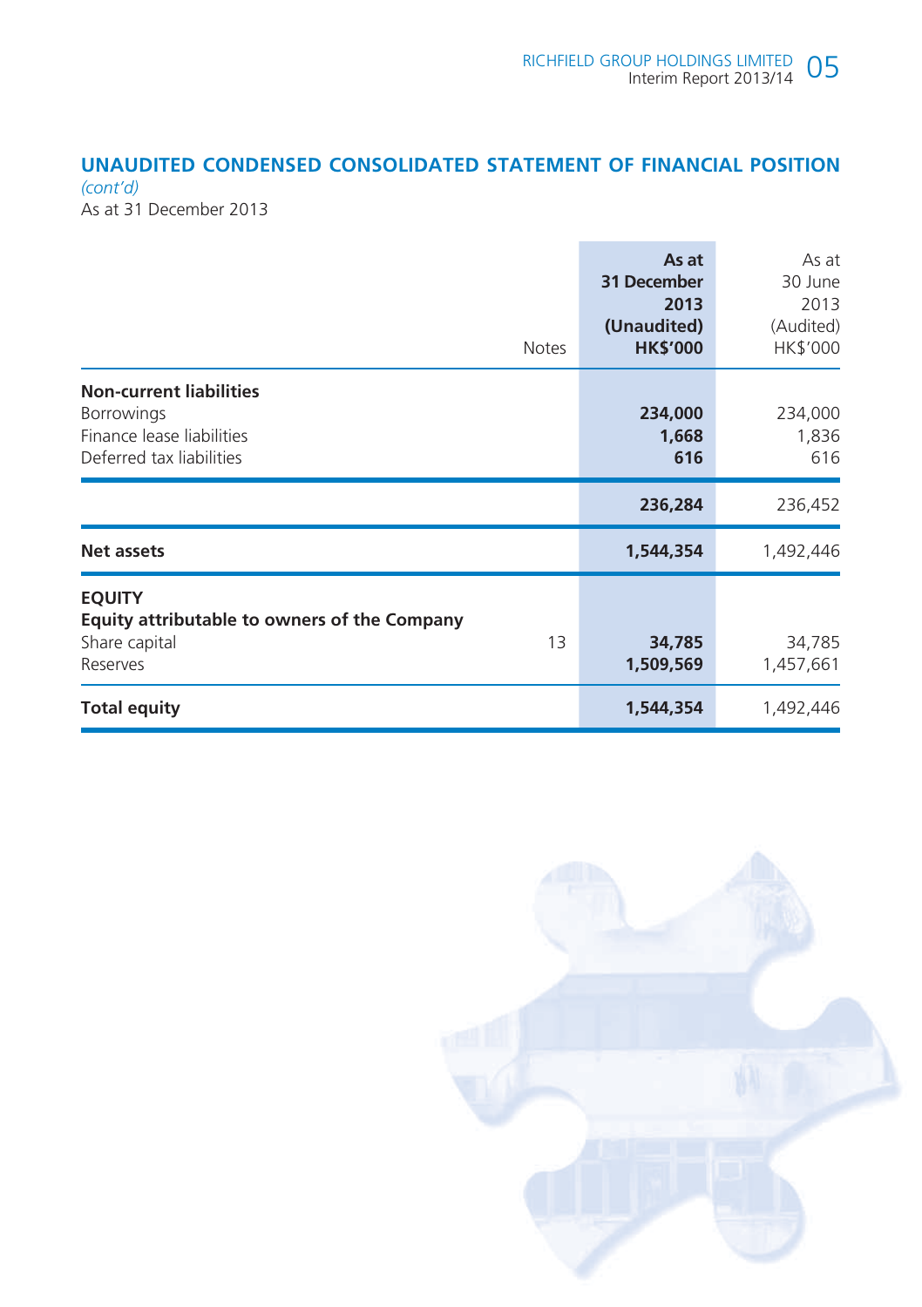# **UNAUDITED CONDENSED CONSOLIDATED STATEMENT OF FINANCIAL POSITION**

*(cont'd)*  As at 31 December 2013

| <b>Notes</b>                                                                                                 | As at<br>31 December<br>2013<br>(Unaudited)<br><b>HK\$'000</b> | As at<br>30 June<br>2013<br>(Audited)<br>HK\$'000 |
|--------------------------------------------------------------------------------------------------------------|----------------------------------------------------------------|---------------------------------------------------|
| <b>Non-current liabilities</b><br><b>Borrowings</b><br>Finance lease liabilities<br>Deferred tax liabilities | 234,000<br>1,668<br>616                                        | 234,000<br>1,836<br>616                           |
|                                                                                                              | 236,284                                                        | 236,452                                           |
| <b>Net assets</b>                                                                                            | 1,544,354                                                      | 1,492,446                                         |
| <b>EQUITY</b><br>Equity attributable to owners of the Company<br>Share capital<br>Reserves                   | 13<br>34,785<br>1,509,569                                      | 34,785<br>1,457,661                               |
| <b>Total equity</b>                                                                                          | 1,544,354                                                      | 1,492,446                                         |

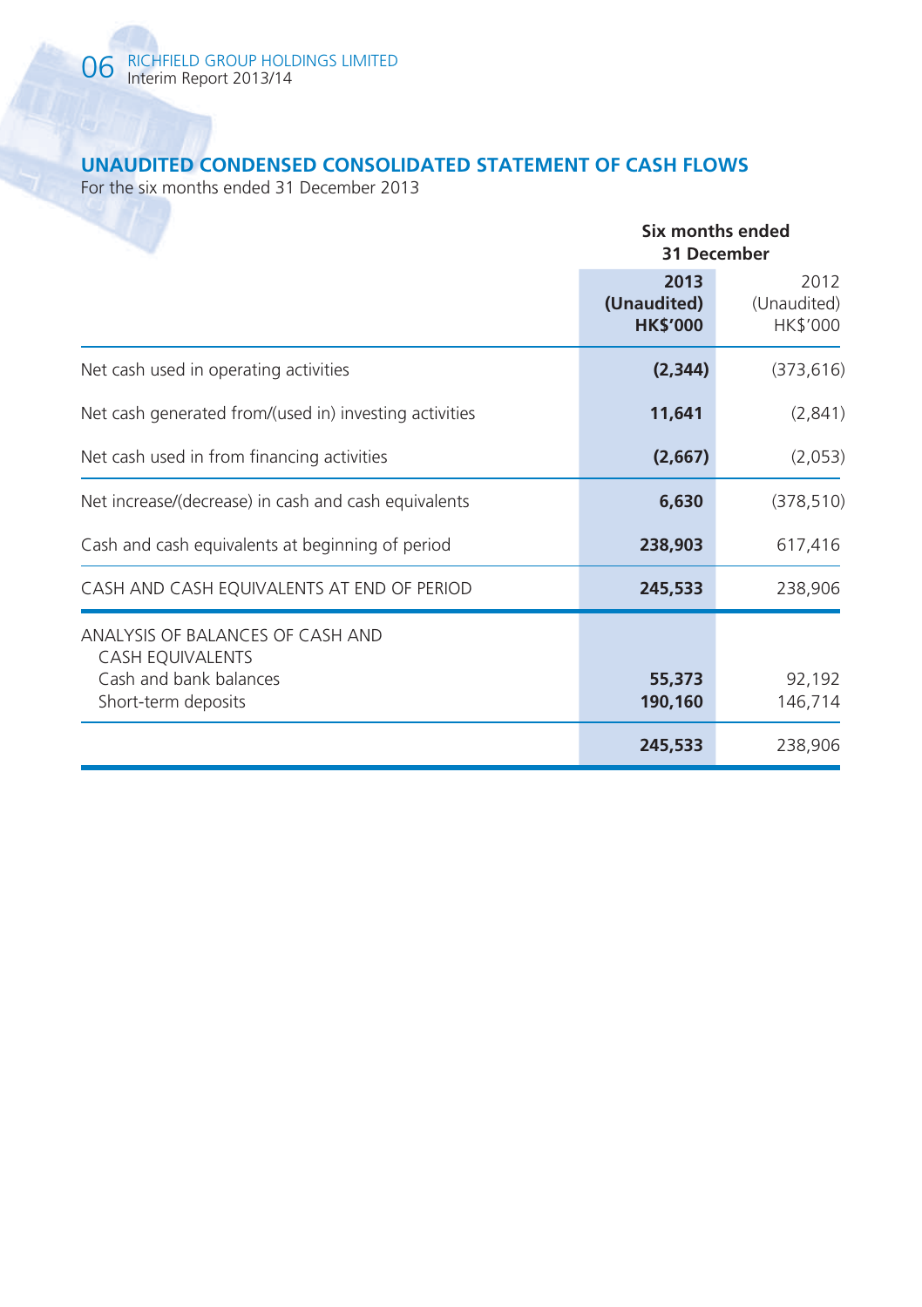# **UNAUDITED CONDENSED CONSOLIDATED STATEMENT OF CASH FLOWS**

For the six months ended 31 December 2013

|                                                                                                              | Six months ended<br>31 December        |                                 |  |  |
|--------------------------------------------------------------------------------------------------------------|----------------------------------------|---------------------------------|--|--|
|                                                                                                              | 2013<br>(Unaudited)<br><b>HK\$'000</b> | 2012<br>(Unaudited)<br>HK\$'000 |  |  |
| Net cash used in operating activities                                                                        | (2, 344)                               | (373, 616)                      |  |  |
| Net cash generated from/(used in) investing activities                                                       | 11,641                                 | (2,841)                         |  |  |
| Net cash used in from financing activities                                                                   | (2,667)                                | (2,053)                         |  |  |
| Net increase/(decrease) in cash and cash equivalents                                                         | 6,630                                  | (378, 510)                      |  |  |
| Cash and cash equivalents at beginning of period                                                             | 238,903                                | 617,416                         |  |  |
| CASH AND CASH EQUIVALENTS AT END OF PERIOD                                                                   | 245,533                                | 238,906                         |  |  |
| ANALYSIS OF BALANCES OF CASH AND<br><b>CASH EQUIVALENTS</b><br>Cash and bank balances<br>Short-term deposits | 55,373<br>190,160                      | 92,192<br>146,714               |  |  |
|                                                                                                              | 245,533                                | 238,906                         |  |  |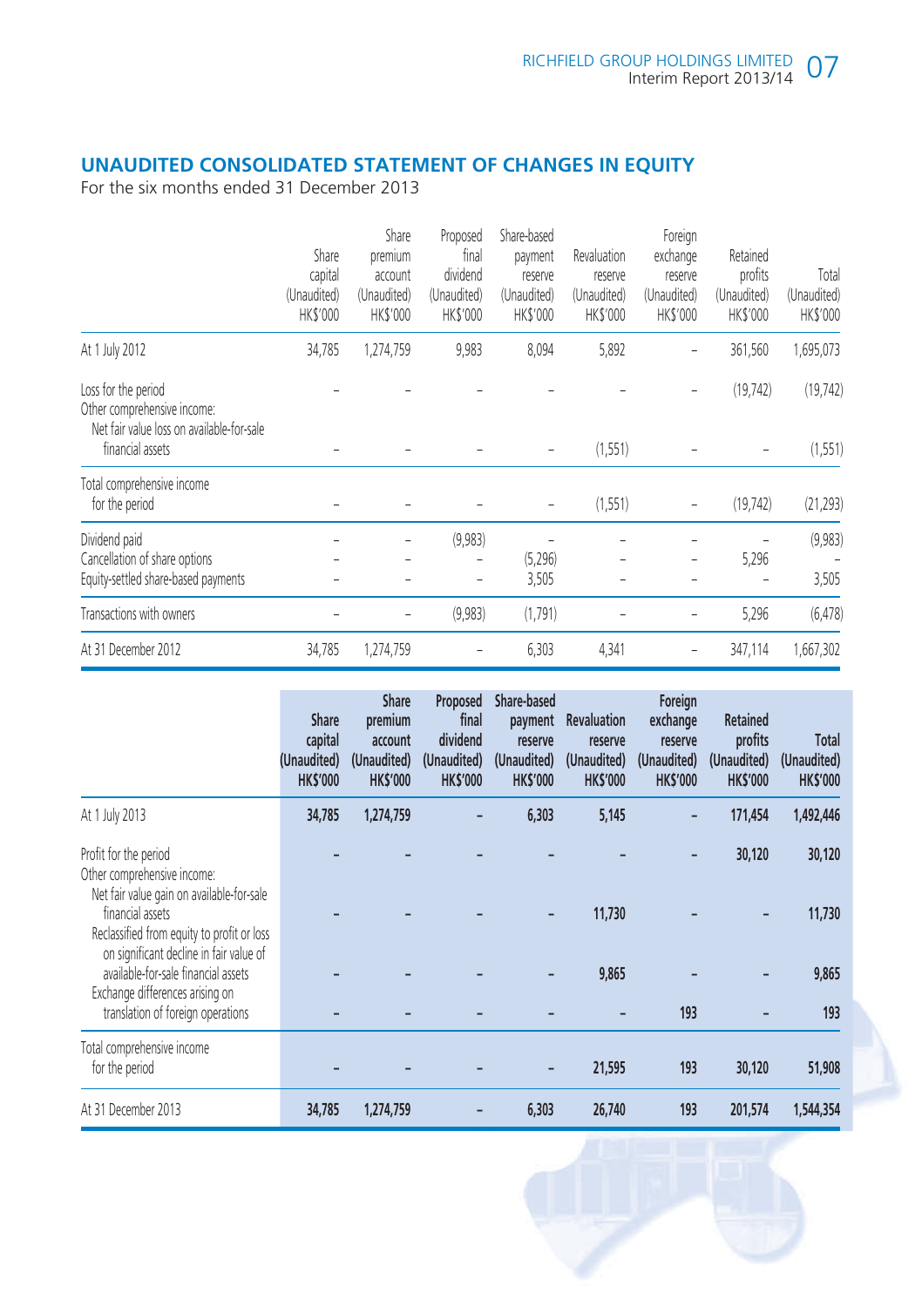# **UNAUDITED CONSOLIDATED STATEMENT OF CHANGES IN EQUITY**

For the six months ended 31 December 2013

|                                                                                                 | Share<br>capital<br>(Unaudited)<br>HK\$'000 | Share<br>premium<br>account<br>(Unaudited)<br>HK\$'000 | Proposed<br>final<br>dividend<br>(Unaudited)<br>HK\$'000 | Share-based<br>payment<br>reserve<br>(Unaudited)<br>HK\$'000 | Revaluation<br>reserve<br>(Unaudited)<br>HK\$'000 | Foreign<br>exchange<br>reserve<br>(Unaudited)<br>HK\$'000 | Retained<br>profits<br>(Unaudited)<br>HK\$'000 | Total<br>(Unaudited)<br>HK\$'000 |
|-------------------------------------------------------------------------------------------------|---------------------------------------------|--------------------------------------------------------|----------------------------------------------------------|--------------------------------------------------------------|---------------------------------------------------|-----------------------------------------------------------|------------------------------------------------|----------------------------------|
| At 1 July 2012                                                                                  | 34,785                                      | 1,274,759                                              | 9,983                                                    | 8,094                                                        | 5,892                                             |                                                           | 361,560                                        | 1,695,073                        |
| Loss for the period<br>Other comprehensive income:<br>Net fair value loss on available-for-sale |                                             |                                                        |                                                          |                                                              |                                                   |                                                           | (19, 742)                                      | (19, 742)                        |
| financial assets                                                                                |                                             |                                                        |                                                          |                                                              | (1, 551)                                          |                                                           |                                                | (1, 551)                         |
| Total comprehensive income<br>for the period                                                    |                                             |                                                        |                                                          | $\overline{a}$                                               | (1, 551)                                          | $\overline{\phantom{0}}$                                  | (19, 742)                                      | (21, 293)                        |
| Dividend paid<br>Cancellation of share options<br>Equity-settled share-based payments           |                                             |                                                        | (9,983)                                                  | (5,296)<br>3,505                                             |                                                   |                                                           | 5,296                                          | (9,983)<br>3,505                 |
| Transactions with owners                                                                        |                                             |                                                        | (9,983)                                                  | (1,791)                                                      |                                                   |                                                           | 5,296                                          | (6, 478)                         |
| At 31 December 2012                                                                             | 34,785                                      | 1,274,759                                              |                                                          | 6,303                                                        | 4,341                                             |                                                           | 347,114                                        | 1,667,302                        |

|                                                                                                                                                                                                                                                       | <b>Share</b><br>capital<br>(Unaudited)<br><b>HK\$'000</b> | <b>Share</b><br>premium<br>account<br>(Unaudited)<br><b>HK\$'000</b> | Proposed<br>final<br>dividend<br>(Unaudited)<br><b>HK\$'000</b> | Share-based<br>payment<br>reserve<br>(Unaudited)<br><b>HK\$'000</b> | <b>Revaluation</b><br>reserve<br>(Unaudited)<br><b>HK\$'000</b> | Foreign<br>exchange<br>reserve<br>(Unaudited)<br><b>HK\$'000</b> | <b>Retained</b><br>profits<br>(Unaudited)<br><b>HK\$'000</b> | Total<br>(Unaudited)<br><b>HK\$'000</b> |
|-------------------------------------------------------------------------------------------------------------------------------------------------------------------------------------------------------------------------------------------------------|-----------------------------------------------------------|----------------------------------------------------------------------|-----------------------------------------------------------------|---------------------------------------------------------------------|-----------------------------------------------------------------|------------------------------------------------------------------|--------------------------------------------------------------|-----------------------------------------|
| At 1 July 2013                                                                                                                                                                                                                                        | 34,785                                                    | 1,274,759                                                            |                                                                 | 6,303                                                               | 5,145                                                           |                                                                  | 171,454                                                      | 1,492,446                               |
| Profit for the period<br>Other comprehensive income:<br>Net fair value gain on available-for-sale<br>financial assets<br>Reclassified from equity to profit or loss<br>on significant decline in fair value of<br>available-for-sale financial assets |                                                           |                                                                      |                                                                 |                                                                     | 11,730<br>9,865                                                 |                                                                  | 30,120                                                       | 30,120<br>11,730<br>9,865               |
| Exchange differences arising on<br>translation of foreign operations                                                                                                                                                                                  |                                                           |                                                                      |                                                                 |                                                                     |                                                                 | 193                                                              |                                                              | 193                                     |
| Total comprehensive income<br>for the period                                                                                                                                                                                                          |                                                           |                                                                      |                                                                 |                                                                     | 21,595                                                          | 193                                                              | 30,120                                                       | 51,908                                  |
| At 31 December 2013                                                                                                                                                                                                                                   | 34,785                                                    | 1,274,759                                                            |                                                                 | 6,303                                                               | 26,740                                                          | 193                                                              | 201,574                                                      | 1,544,354                               |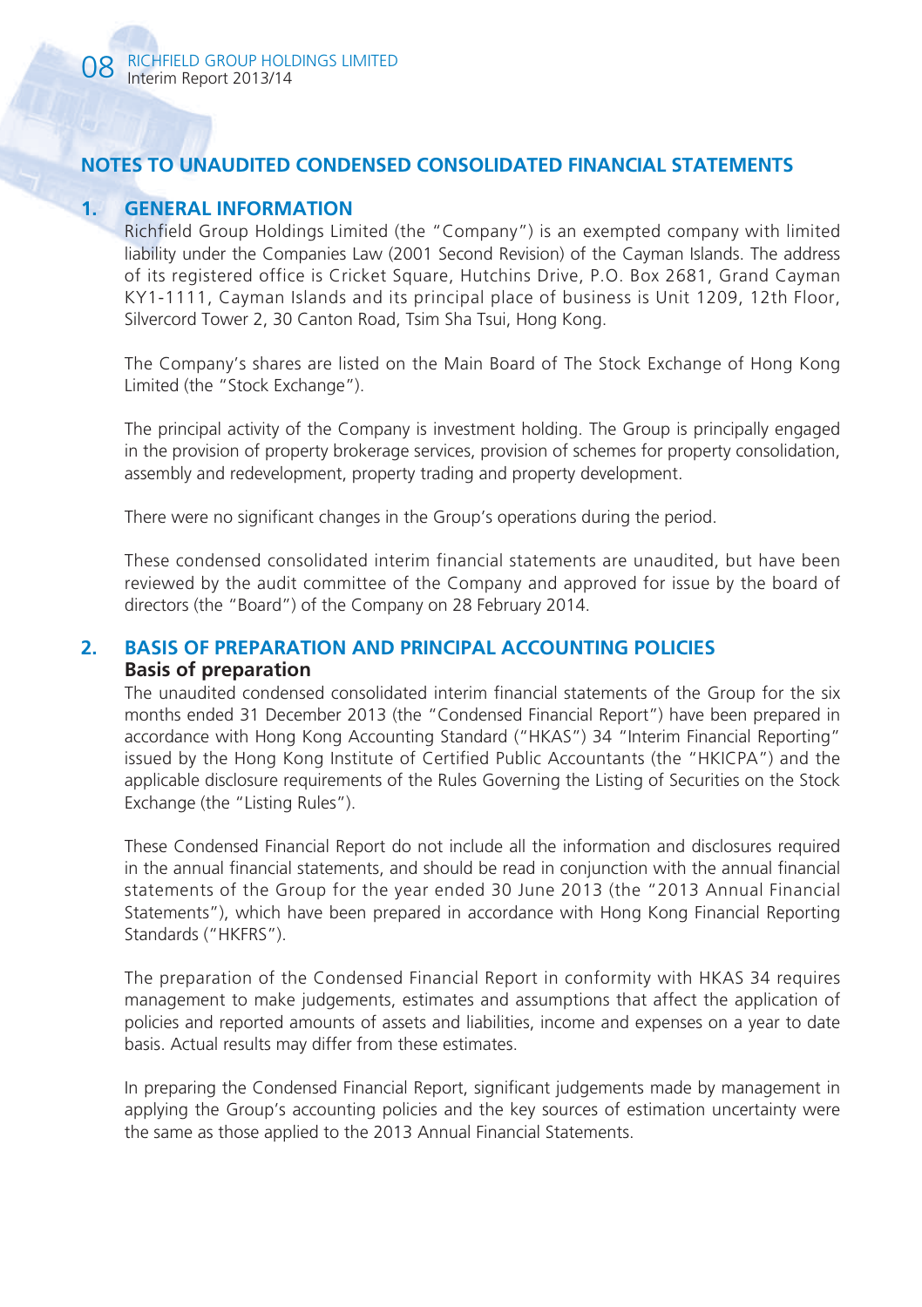# **NOTES TO UNAUDITED CONDENSED CONSOLIDATED FINANCIAL STATEMENTS**

## **1. GENERAL INFORMATION**

Richfield Group Holdings Limited (the "Company") is an exempted company with limited liability under the Companies Law (2001 Second Revision) of the Cayman Islands. The address of its registered office is Cricket Square, Hutchins Drive, P.O. Box 2681, Grand Cayman KY1-1111, Cayman Islands and its principal place of business is Unit 1209, 12th Floor, Silvercord Tower 2, 30 Canton Road, Tsim Sha Tsui, Hong Kong.

The Company's shares are listed on the Main Board of The Stock Exchange of Hong Kong Limited (the "Stock Exchange").

The principal activity of the Company is investment holding. The Group is principally engaged in the provision of property brokerage services, provision of schemes for property consolidation, assembly and redevelopment, property trading and property development.

There were no significant changes in the Group's operations during the period.

These condensed consolidated interim financial statements are unaudited, but have been reviewed by the audit committee of the Company and approved for issue by the board of directors (the "Board") of the Company on 28 February 2014.

## **2. BASIS OF PREPARATION AND PRINCIPAL ACCOUNTING POLICIES Basis of preparation**

The unaudited condensed consolidated interim financial statements of the Group for the six months ended 31 December 2013 (the "Condensed Financial Report") have been prepared in accordance with Hong Kong Accounting Standard ("HKAS") 34 "Interim Financial Reporting" issued by the Hong Kong Institute of Certified Public Accountants (the "HKICPA") and the applicable disclosure requirements of the Rules Governing the Listing of Securities on the Stock Exchange (the "Listing Rules").

These Condensed Financial Report do not include all the information and disclosures required in the annual financial statements, and should be read in conjunction with the annual financial statements of the Group for the year ended 30 June 2013 (the "2013 Annual Financial Statements"), which have been prepared in accordance with Hong Kong Financial Reporting Standards ("HKFRS").

The preparation of the Condensed Financial Report in conformity with HKAS 34 requires management to make judgements, estimates and assumptions that affect the application of policies and reported amounts of assets and liabilities, income and expenses on a year to date basis. Actual results may differ from these estimates.

In preparing the Condensed Financial Report, significant judgements made by management in applying the Group's accounting policies and the key sources of estimation uncertainty were the same as those applied to the 2013 Annual Financial Statements.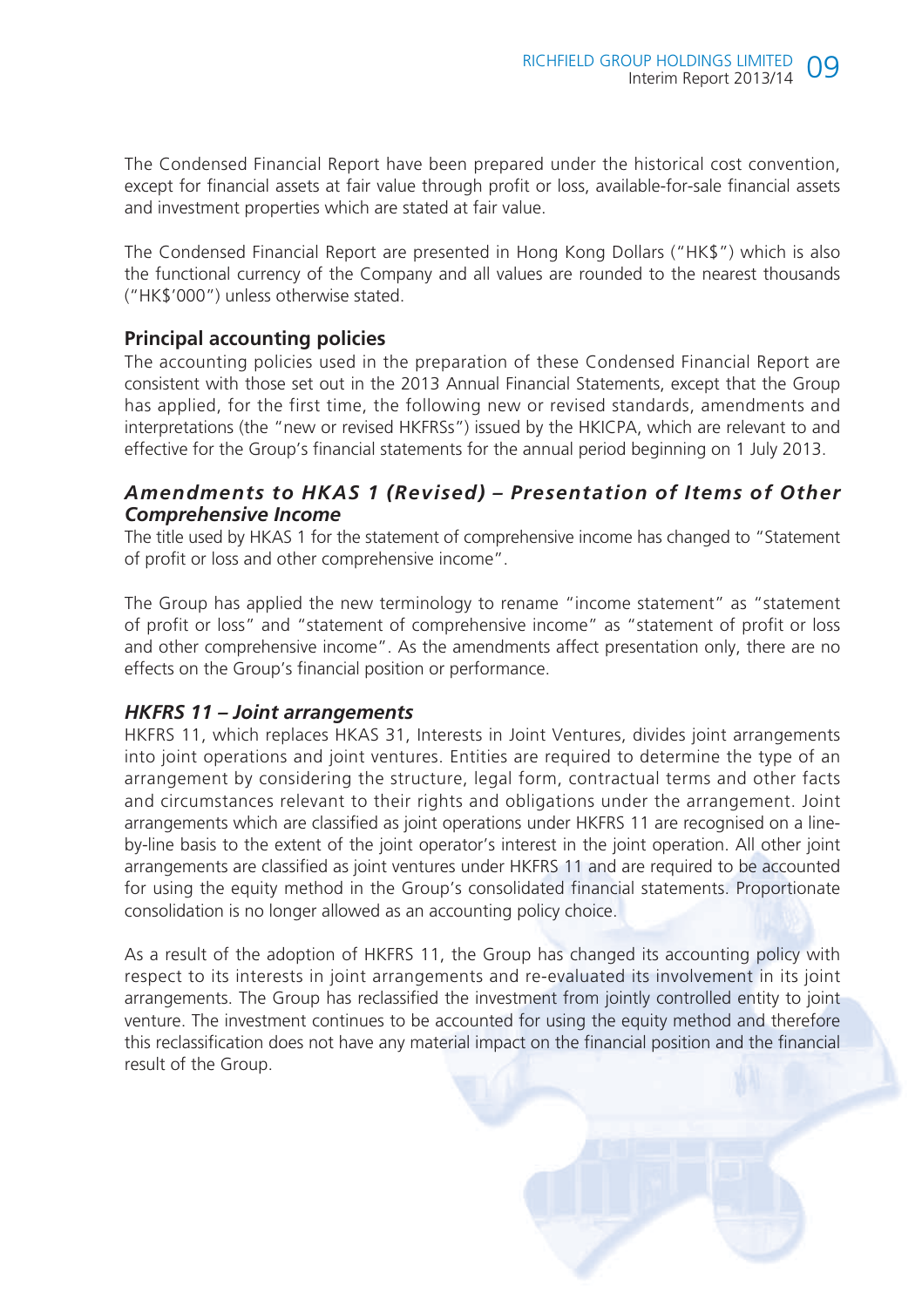The Condensed Financial Report have been prepared under the historical cost convention, except for financial assets at fair value through profit or loss, available-for-sale financial assets and investment properties which are stated at fair value.

The Condensed Financial Report are presented in Hong Kong Dollars ("HK\$") which is also the functional currency of the Company and all values are rounded to the nearest thousands ("HK\$'000") unless otherwise stated.

# **Principal accounting policies**

The accounting policies used in the preparation of these Condensed Financial Report are consistent with those set out in the 2013 Annual Financial Statements, except that the Group has applied, for the first time, the following new or revised standards, amendments and interpretations (the "new or revised HKFRSs") issued by the HKICPA, which are relevant to and effective for the Group's financial statements for the annual period beginning on 1 July 2013.

# *Amendments to HKAS 1 (Revised) – Presentation of Items of Other Comprehensive Income*

The title used by HKAS 1 for the statement of comprehensive income has changed to "Statement of profit or loss and other comprehensive income".

The Group has applied the new terminology to rename "income statement" as "statement of profit or loss" and "statement of comprehensive income" as "statement of profit or loss and other comprehensive income". As the amendments affect presentation only, there are no effects on the Group's financial position or performance.

## *HKFRS 11 – Joint arrangements*

HKFRS 11, which replaces HKAS 31, Interests in Joint Ventures, divides joint arrangements into joint operations and joint ventures. Entities are required to determine the type of an arrangement by considering the structure, legal form, contractual terms and other facts and circumstances relevant to their rights and obligations under the arrangement. Joint arrangements which are classified as joint operations under HKFRS 11 are recognised on a lineby-line basis to the extent of the joint operator's interest in the joint operation. All other joint arrangements are classified as joint ventures under HKFRS 11 and are required to be accounted for using the equity method in the Group's consolidated financial statements. Proportionate consolidation is no longer allowed as an accounting policy choice.

As a result of the adoption of HKFRS 11, the Group has changed its accounting policy with respect to its interests in joint arrangements and re-evaluated its involvement in its joint arrangements. The Group has reclassified the investment from jointly controlled entity to joint venture. The investment continues to be accounted for using the equity method and therefore this reclassification does not have any material impact on the financial position and the financial result of the Group.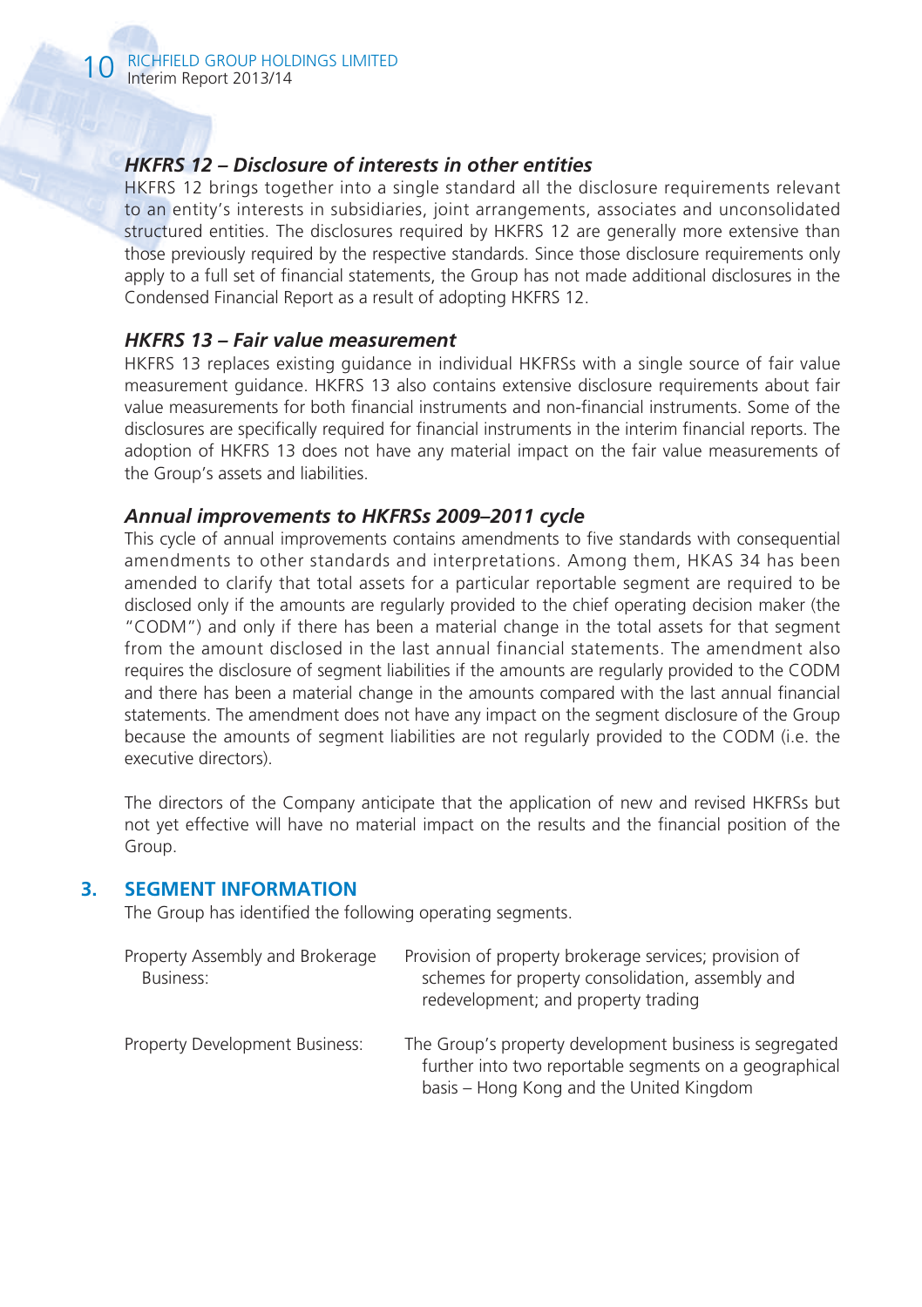## *HKFRS 12 – Disclosure of interests in other entities*

HKFRS 12 brings together into a single standard all the disclosure requirements relevant to an entity's interests in subsidiaries, joint arrangements, associates and unconsolidated structured entities. The disclosures required by HKFRS 12 are generally more extensive than those previously required by the respective standards. Since those disclosure requirements only apply to a full set of financial statements, the Group has not made additional disclosures in the Condensed Financial Report as a result of adopting HKFRS 12.

#### *HKFRS 13 – Fair value measurement*

HKFRS 13 replaces existing guidance in individual HKFRSs with a single source of fair value measurement guidance. HKFRS 13 also contains extensive disclosure requirements about fair value measurements for both financial instruments and non-financial instruments. Some of the disclosures are specifically required for financial instruments in the interim financial reports. The adoption of HKFRS 13 does not have any material impact on the fair value measurements of the Group's assets and liabilities.

#### *Annual improvements to HKFRSs 2009–2011 cycle*

This cycle of annual improvements contains amendments to five standards with consequential amendments to other standards and interpretations. Among them, HKAS 34 has been amended to clarify that total assets for a particular reportable segment are required to be disclosed only if the amounts are regularly provided to the chief operating decision maker (the "CODM") and only if there has been a material change in the total assets for that segment from the amount disclosed in the last annual financial statements. The amendment also requires the disclosure of segment liabilities if the amounts are regularly provided to the CODM and there has been a material change in the amounts compared with the last annual financial statements. The amendment does not have any impact on the segment disclosure of the Group because the amounts of segment liabilities are not regularly provided to the CODM (i.e. the executive directors).

The directors of the Company anticipate that the application of new and revised HKFRSs but not yet effective will have no material impact on the results and the financial position of the Group.

#### **3. SEGMENT INFORMATION**

The Group has identified the following operating segments.

| Property Assembly and Brokerage<br>Business: | Provision of property brokerage services; provision of<br>schemes for property consolidation, assembly and<br>redevelopment; and property trading             |
|----------------------------------------------|---------------------------------------------------------------------------------------------------------------------------------------------------------------|
| Property Development Business:               | The Group's property development business is segregated<br>further into two reportable segments on a geographical<br>basis – Hong Kong and the United Kingdom |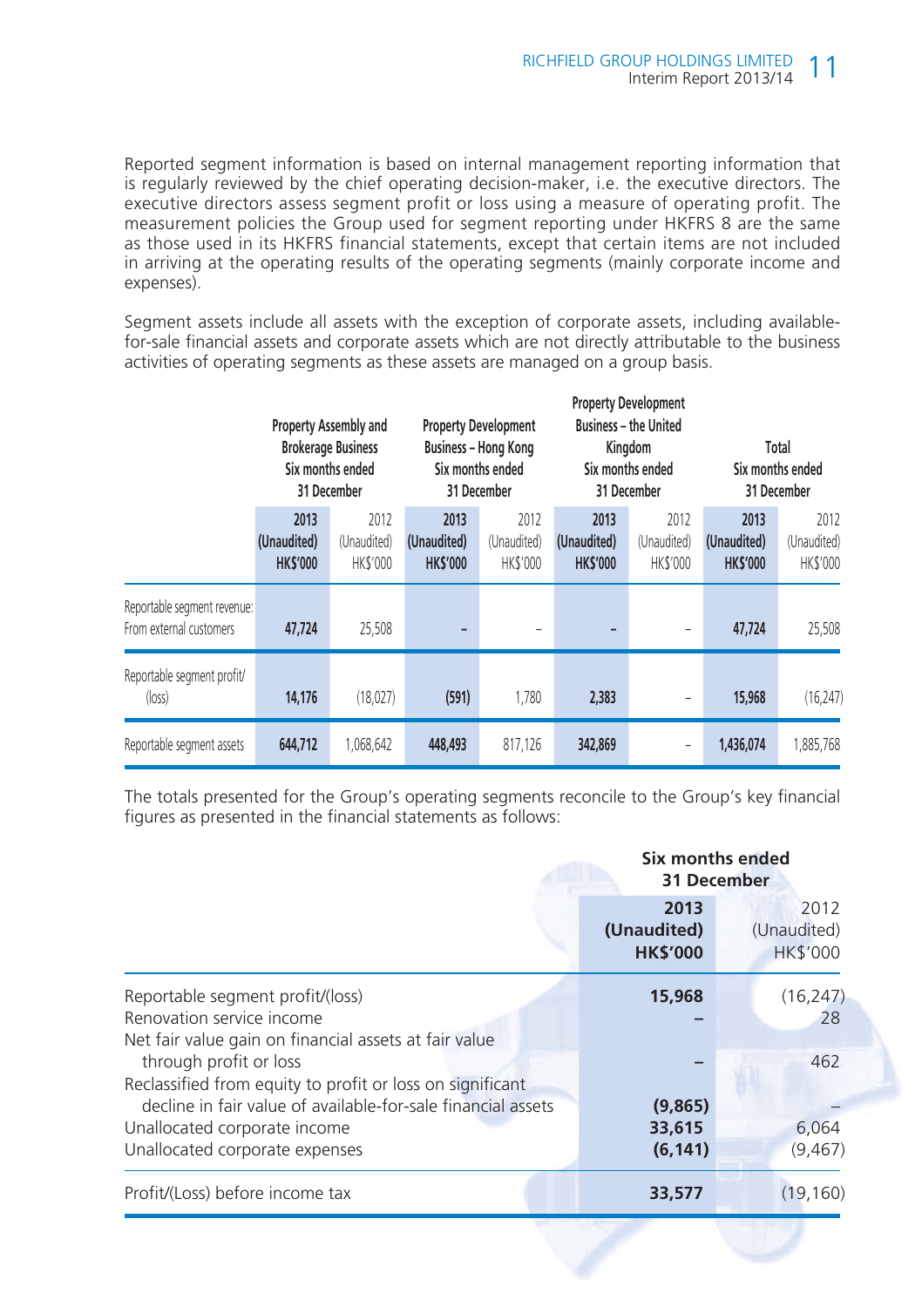Reported segment information is based on internal management reporting information that is regularly reviewed by the chief operating decision-maker, i.e. the executive directors. The executive directors assess segment profit or loss using a measure of operating profit. The measurement policies the Group used for segment reporting under HKFRS 8 are the same as those used in its HKFRS financial statements, except that certain items are not included in arriving at the operating results of the operating segments (mainly corporate income and expenses).

Segment assets include all assets with the exception of corporate assets, including availablefor-sale financial assets and corporate assets which are not directly attributable to the business activities of operating segments as these assets are managed on a group basis.

|                                                        | Property Assembly and<br><b>Brokerage Business</b><br>Six months ended<br>31 December |                                        | <b>Property Development</b><br>Business - Hong Kong<br>Six months ended<br>31 December |                                        |                                        | <b>Property Development</b><br><b>Business - the United</b><br>Kingdom<br>Six months ended<br>31 December | Total<br>Six months ended<br>31 December |                                 |
|--------------------------------------------------------|---------------------------------------------------------------------------------------|----------------------------------------|----------------------------------------------------------------------------------------|----------------------------------------|----------------------------------------|-----------------------------------------------------------------------------------------------------------|------------------------------------------|---------------------------------|
|                                                        | 2013<br>(Unaudited)<br><b>HKS'000</b>                                                 | 2012<br>(Unaudited)<br><b>HK\$'000</b> | 2013<br>(Unaudited)<br><b>HK\$'000</b>                                                 | 2012<br>(Unaudited)<br><b>HK\$'000</b> | 2013<br>(Unaudited)<br><b>HK\$'000</b> | 2012<br>(Unaudited)<br><b>HK\$'000</b>                                                                    | 2013<br>(Unaudited)<br><b>HK\$'000</b>   | 2012<br>(Unaudited)<br>HK\$'000 |
| Reportable segment revenue:<br>From external customers | 47.724                                                                                | 25,508                                 | -                                                                                      |                                        |                                        |                                                                                                           | 47,724                                   | 25,508                          |
| Reportable segment profit/<br>$(\log s)$               | 14,176                                                                                | (18,027)                               | (591)                                                                                  | 1,780                                  | 2,383                                  |                                                                                                           | 15,968                                   | (16, 247)                       |
| Reportable segment assets                              | 644.712                                                                               | 1,068,642                              | 448,493                                                                                | 817,126                                | 342,869                                |                                                                                                           | 1,436,074                                | 1,885,768                       |

The totals presented for the Group's operating segments reconcile to the Group's key financial figures as presented in the financial statements as follows:

|                                                                                                                        | Six months ended<br>31 December        |                                        |  |  |
|------------------------------------------------------------------------------------------------------------------------|----------------------------------------|----------------------------------------|--|--|
|                                                                                                                        | 2013<br>(Unaudited)<br><b>HK\$'000</b> | 2012<br>(Unaudited)<br><b>HK\$'000</b> |  |  |
| Reportable segment profit/(loss)<br>Renovation service income<br>Net fair value gain on financial assets at fair value | 15,968                                 | (16, 247)<br>28                        |  |  |
| through profit or loss<br>Reclassified from equity to profit or loss on significant                                    |                                        | 462                                    |  |  |
| decline in fair value of available-for-sale financial assets                                                           | (9,865)                                |                                        |  |  |
| Unallocated corporate income                                                                                           | 33,615                                 | 6,064                                  |  |  |
| Unallocated corporate expenses                                                                                         | (6, 141)                               | (9, 467)                               |  |  |
| Profit/(Loss) before income tax                                                                                        | 33,577                                 | (19, 160)                              |  |  |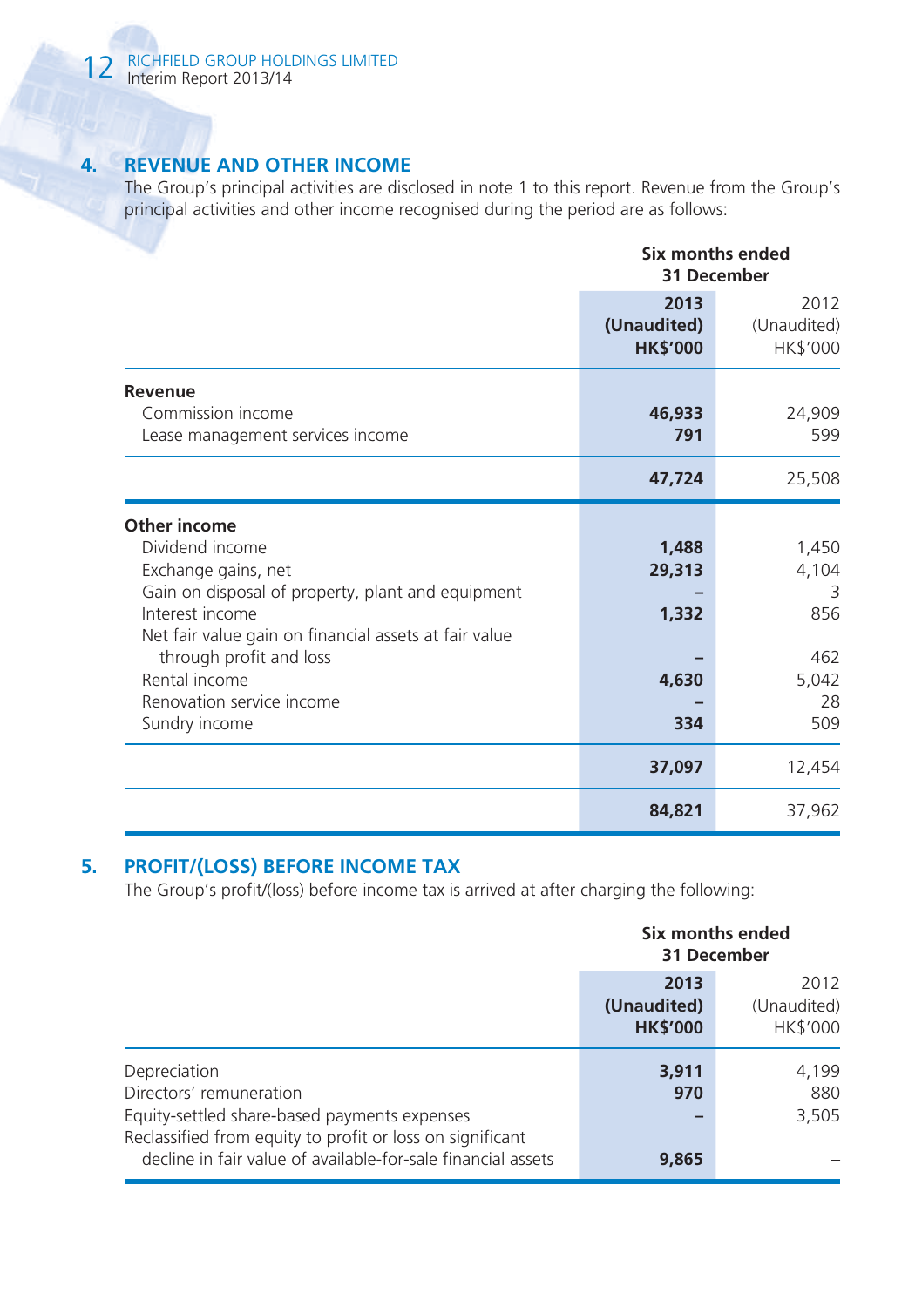# **4. REVENUE AND OTHER INCOME**

The Group's principal activities are disclosed in note 1 to this report. Revenue from the Group's principal activities and other income recognised during the period are as follows:

|                                                       | Six months ended<br>31 December        |                                 |  |
|-------------------------------------------------------|----------------------------------------|---------------------------------|--|
|                                                       | 2013<br>(Unaudited)<br><b>HK\$'000</b> | 2012<br>(Unaudited)<br>HK\$'000 |  |
| Revenue                                               |                                        |                                 |  |
| Commission income<br>Lease management services income | 46,933<br>791                          | 24,909<br>599                   |  |
|                                                       | 47,724                                 | 25,508                          |  |
| Other income                                          |                                        |                                 |  |
| Dividend income                                       | 1,488                                  | 1,450                           |  |
| Exchange gains, net                                   | 29,313                                 | 4,104                           |  |
| Gain on disposal of property, plant and equipment     |                                        | 3                               |  |
| Interest income                                       | 1,332                                  | 856                             |  |
| Net fair value gain on financial assets at fair value |                                        |                                 |  |
| through profit and loss                               |                                        | 462                             |  |
| Rental income                                         | 4,630                                  | 5,042                           |  |
| Renovation service income                             |                                        | 28                              |  |
| Sundry income                                         | 334                                    | 509                             |  |
|                                                       | 37,097                                 | 12,454                          |  |
|                                                       | 84,821                                 | 37,962                          |  |

# **5. PROFIT/(LOSS) BEFORE INCOME TAX**

The Group's profit/(loss) before income tax is arrived at after charging the following:

|                                                                                                                           | Six months ended<br>31 December        |                                 |  |
|---------------------------------------------------------------------------------------------------------------------------|----------------------------------------|---------------------------------|--|
|                                                                                                                           | 2013<br>(Unaudited)<br><b>HK\$'000</b> | 2012<br>(Unaudited)<br>HK\$'000 |  |
| Depreciation<br>Directors' remuneration<br>Equity-settled share-based payments expenses                                   | 3,911<br>970                           | 4,199<br>880<br>3,505           |  |
| Reclassified from equity to profit or loss on significant<br>decline in fair value of available-for-sale financial assets | 9,865                                  |                                 |  |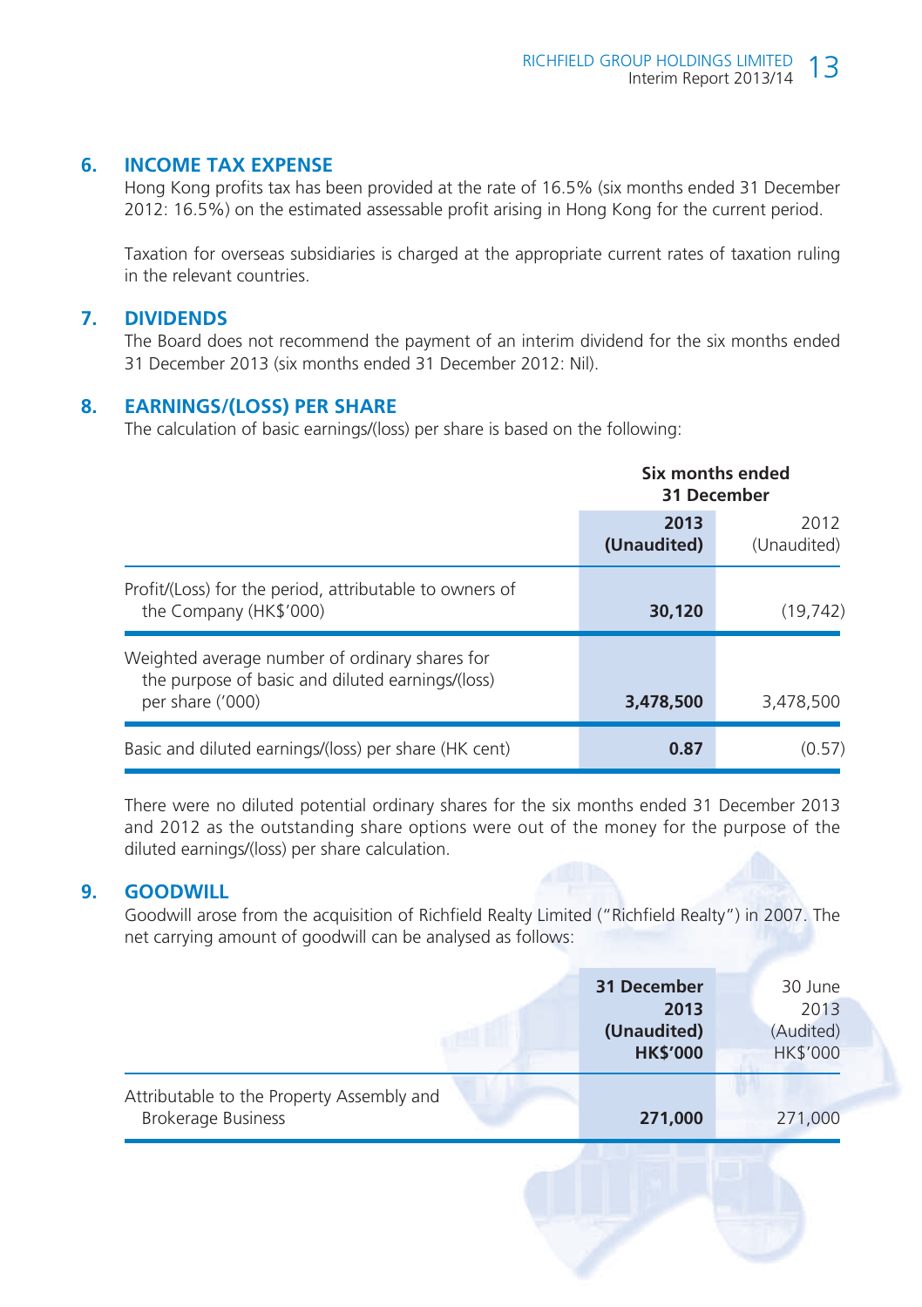## **6. INCOME TAX EXPENSE**

Hong Kong profits tax has been provided at the rate of 16.5% (six months ended 31 December 2012: 16.5%) on the estimated assessable profit arising in Hong Kong for the current period.

Taxation for overseas subsidiaries is charged at the appropriate current rates of taxation ruling in the relevant countries.

#### **7. DIVIDENDS**

The Board does not recommend the payment of an interim dividend for the six months ended 31 December 2013 (six months ended 31 December 2012: Nil).

#### **8. EARNINGS/(LOSS) PER SHARE**

The calculation of basic earnings/(loss) per share is based on the following:

|                                                                                                                        | Six months ended<br>31 December |                     |  |
|------------------------------------------------------------------------------------------------------------------------|---------------------------------|---------------------|--|
|                                                                                                                        | 2013<br>(Unaudited)             | 2012<br>(Unaudited) |  |
| Profit/(Loss) for the period, attributable to owners of<br>the Company (HK\$'000)                                      | 30,120                          | (19, 742)           |  |
| Weighted average number of ordinary shares for<br>the purpose of basic and diluted earnings/(loss)<br>per share ('000) | 3,478,500                       | 3,478,500           |  |
| Basic and diluted earnings/(loss) per share (HK cent)                                                                  | 0.87                            | (0.57)              |  |

There were no diluted potential ordinary shares for the six months ended 31 December 2013 and 2012 as the outstanding share options were out of the money for the purpose of the diluted earnings/(loss) per share calculation.

#### **9. GOODWILL**

Goodwill arose from the acquisition of Richfield Realty Limited ("Richfield Realty") in 2007. The net carrying amount of goodwill can be analysed as follows:

|                                                                        | 31 December<br>2013<br>(Unaudited)<br><b>HK\$'000</b> | 30 June<br>2013<br>(Audited)<br><b>HK\$'000</b> |  |
|------------------------------------------------------------------------|-------------------------------------------------------|-------------------------------------------------|--|
| Attributable to the Property Assembly and<br><b>Brokerage Business</b> | 271,000                                               | 271,000                                         |  |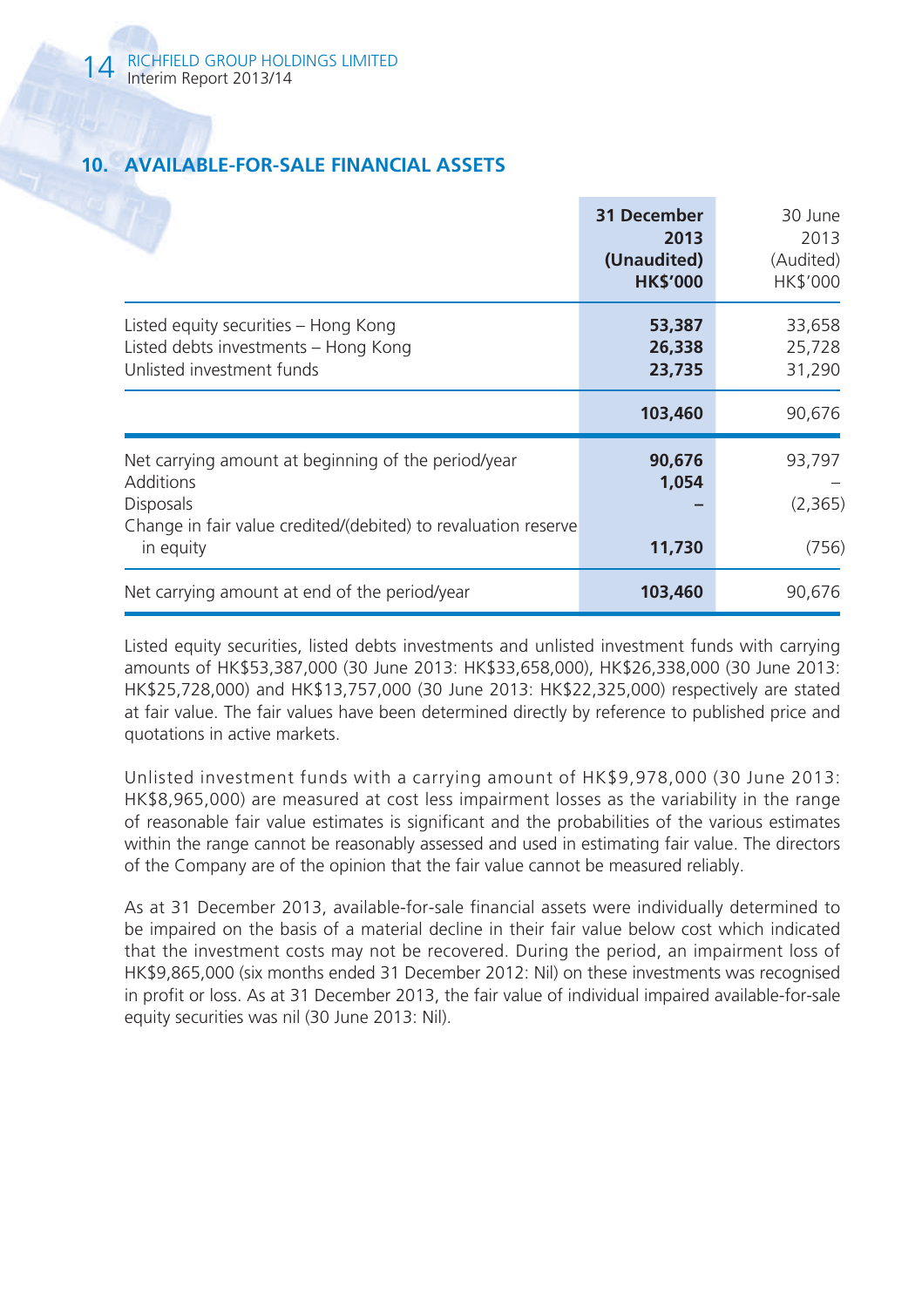# **10. AVAILABLE-FOR-SALE FINANCIAL ASSETS**

|                                                                                                                                                        | 31 December<br>2013<br>(Unaudited)<br><b>HK\$'000</b> | 30 June<br>2013<br>(Audited)<br><b>HK\$'000</b> |
|--------------------------------------------------------------------------------------------------------------------------------------------------------|-------------------------------------------------------|-------------------------------------------------|
| Listed equity securities - Hong Kong<br>Listed debts investments - Hong Kong<br>Unlisted investment funds                                              | 53,387<br>26,338<br>23,735                            | 33,658<br>25,728<br>31,290                      |
|                                                                                                                                                        | 103,460                                               | 90,676                                          |
| Net carrying amount at beginning of the period/year<br>Additions<br><b>Disposals</b><br>Change in fair value credited/(debited) to revaluation reserve | 90,676<br>1,054                                       | 93,797<br>(2,365)                               |
| in equity<br>Net carrying amount at end of the period/year                                                                                             | 11,730<br>103,460                                     | (756)<br>90,676                                 |
|                                                                                                                                                        |                                                       |                                                 |

Listed equity securities, listed debts investments and unlisted investment funds with carrying amounts of HK\$53,387,000 (30 June 2013: HK\$33,658,000), HK\$26,338,000 (30 June 2013: HK\$25,728,000) and HK\$13,757,000 (30 June 2013: HK\$22,325,000) respectively are stated at fair value. The fair values have been determined directly by reference to published price and quotations in active markets.

Unlisted investment funds with a carrying amount of HK\$9,978,000 (30 June 2013: HK\$8,965,000) are measured at cost less impairment losses as the variability in the range of reasonable fair value estimates is significant and the probabilities of the various estimates within the range cannot be reasonably assessed and used in estimating fair value. The directors of the Company are of the opinion that the fair value cannot be measured reliably.

As at 31 December 2013, available-for-sale financial assets were individually determined to be impaired on the basis of a material decline in their fair value below cost which indicated that the investment costs may not be recovered. During the period, an impairment loss of HK\$9,865,000 (six months ended 31 December 2012: Nil) on these investments was recognised in profit or loss. As at 31 December 2013, the fair value of individual impaired available-for-sale equity securities was nil (30 June 2013: Nil).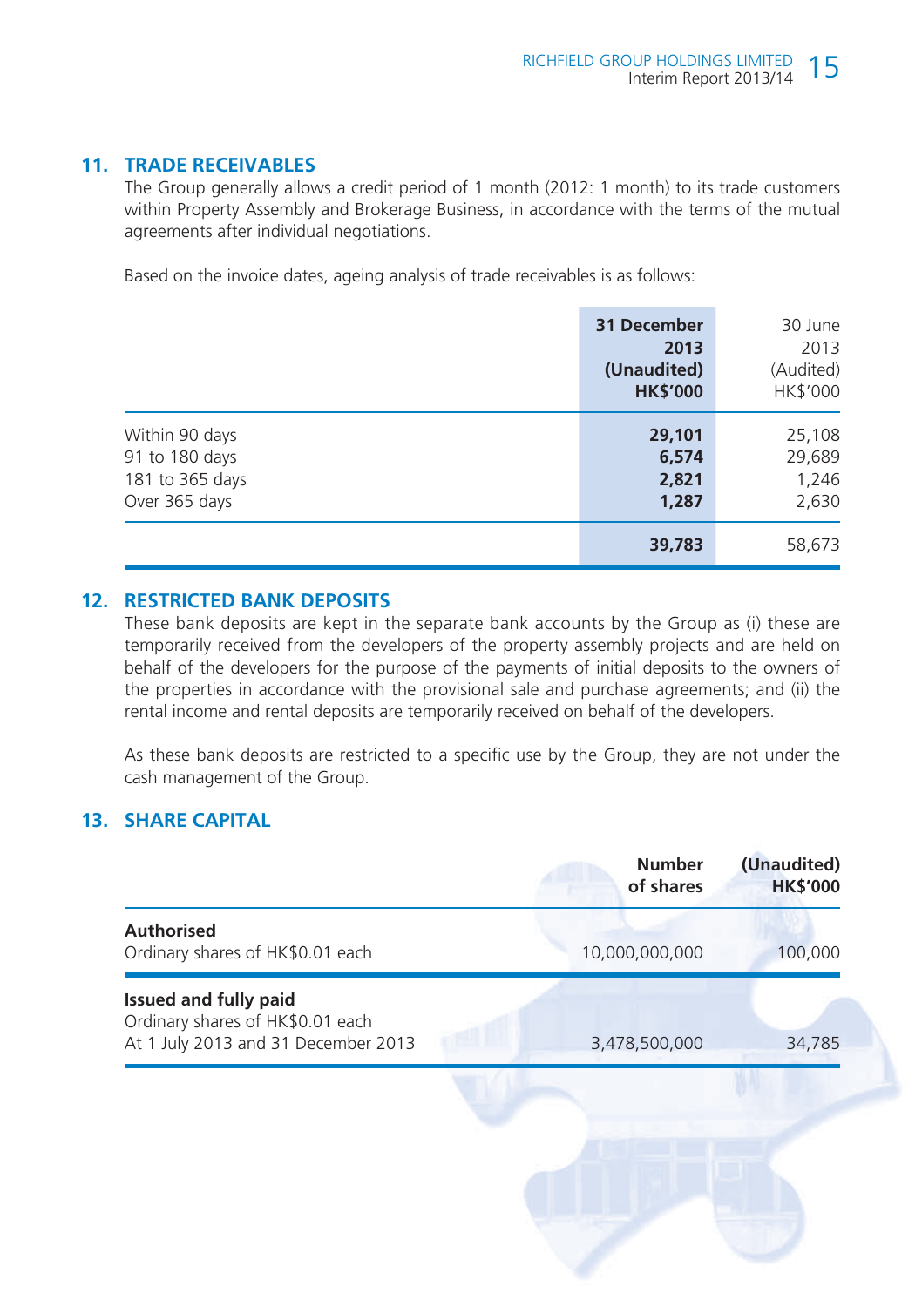# **11. TRADE RECEIVABLES**

The Group generally allows a credit period of 1 month (2012: 1 month) to its trade customers within Property Assembly and Brokerage Business, in accordance with the terms of the mutual agreements after individual negotiations.

Based on the invoice dates, ageing analysis of trade receivables is as follows:

|                 | 31 December<br>2013<br>(Unaudited)<br><b>HK\$'000</b> | 30 June<br>2013<br>(Audited)<br>HK\$'000 |
|-----------------|-------------------------------------------------------|------------------------------------------|
| Within 90 days  | 29,101                                                | 25,108                                   |
| 91 to 180 days  | 6,574                                                 | 29,689                                   |
| 181 to 365 days | 2,821                                                 | 1,246                                    |
| Over 365 days   | 1,287                                                 | 2,630                                    |
|                 | 39,783                                                | 58,673                                   |

## **12. RESTRICTED BANK DEPOSITS**

These bank deposits are kept in the separate bank accounts by the Group as (i) these are temporarily received from the developers of the property assembly projects and are held on behalf of the developers for the purpose of the payments of initial deposits to the owners of the properties in accordance with the provisional sale and purchase agreements; and (ii) the rental income and rental deposits are temporarily received on behalf of the developers.

As these bank deposits are restricted to a specific use by the Group, they are not under the cash management of the Group.

# **13. SHARE CAPITAL**

|                                                                                                         | <b>Number</b><br>of shares | (Unaudited)<br><b>HK\$'000</b> |
|---------------------------------------------------------------------------------------------------------|----------------------------|--------------------------------|
| <b>Authorised</b><br>Ordinary shares of HK\$0.01 each                                                   | 10,000,000,000             | 100,000                        |
| <b>Issued and fully paid</b><br>Ordinary shares of HK\$0.01 each<br>At 1 July 2013 and 31 December 2013 | 3,478,500,000              | 34,785                         |
|                                                                                                         |                            |                                |
|                                                                                                         |                            |                                |
|                                                                                                         |                            |                                |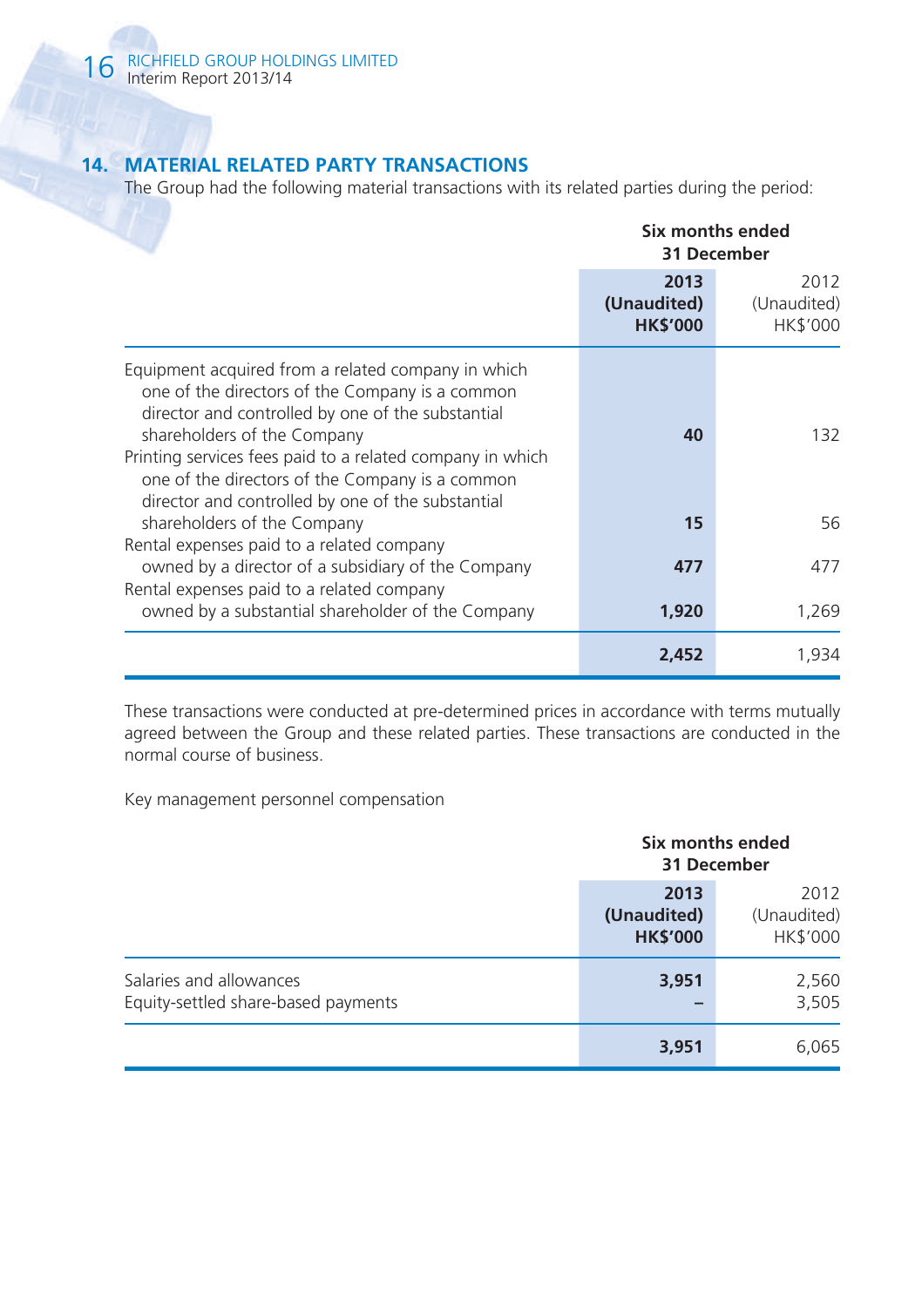# **14. MATERIAL RELATED PARTY TRANSACTIONS**

The Group had the following material transactions with its related parties during the period:

|                                                                                                                                                                                                                                                                                                                                                                | Six months ended<br>31 December        |                                 |
|----------------------------------------------------------------------------------------------------------------------------------------------------------------------------------------------------------------------------------------------------------------------------------------------------------------------------------------------------------------|----------------------------------------|---------------------------------|
|                                                                                                                                                                                                                                                                                                                                                                | 2013<br>(Unaudited)<br><b>HK\$'000</b> | 2012<br>(Unaudited)<br>HK\$'000 |
| Equipment acquired from a related company in which<br>one of the directors of the Company is a common<br>director and controlled by one of the substantial<br>shareholders of the Company<br>Printing services fees paid to a related company in which<br>one of the directors of the Company is a common<br>director and controlled by one of the substantial | 40                                     | 132.                            |
| shareholders of the Company                                                                                                                                                                                                                                                                                                                                    | 15                                     | 56                              |
| Rental expenses paid to a related company<br>owned by a director of a subsidiary of the Company                                                                                                                                                                                                                                                                | 477                                    | 477                             |
| Rental expenses paid to a related company<br>owned by a substantial shareholder of the Company                                                                                                                                                                                                                                                                 | 1,920                                  | 1,269                           |
|                                                                                                                                                                                                                                                                                                                                                                | 2,452                                  | 1,934                           |

These transactions were conducted at pre-determined prices in accordance with terms mutually agreed between the Group and these related parties. These transactions are conducted in the normal course of business.

Key management personnel compensation

|                                                                | Six months ended<br>31 December        |                                 |  |
|----------------------------------------------------------------|----------------------------------------|---------------------------------|--|
|                                                                | 2013<br>(Unaudited)<br><b>HK\$'000</b> | 2012<br>(Unaudited)<br>HK\$'000 |  |
| Salaries and allowances<br>Equity-settled share-based payments | 3,951                                  | 2,560<br>3,505                  |  |
|                                                                | 3,951                                  | 6,065                           |  |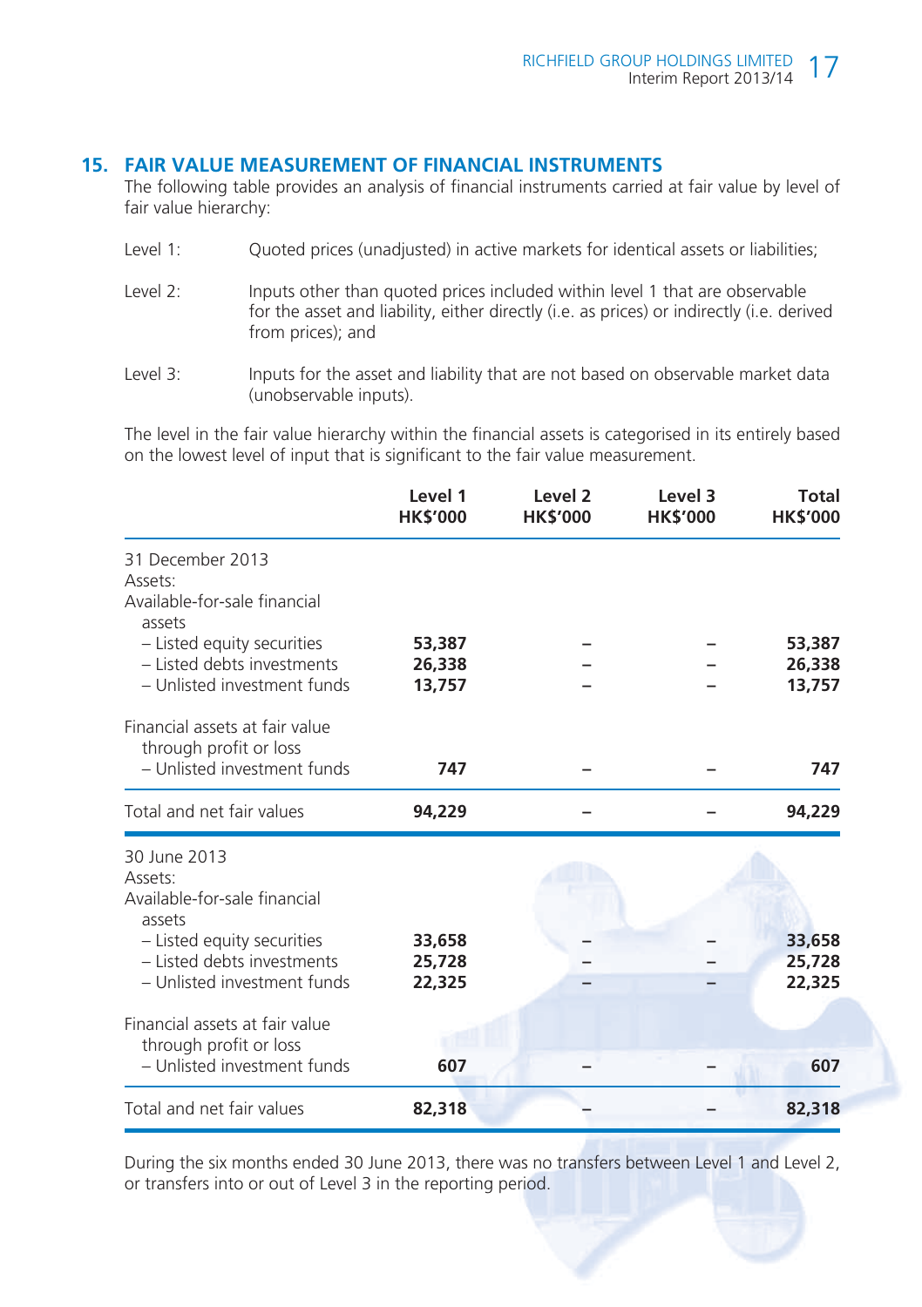#### **15. FAIR VALUE MEASUREMENT OF FINANCIAL INSTRUMENTS**

The following table provides an analysis of financial instruments carried at fair value by level of fair value hierarchy:

- Level 1: Quoted prices (unadjusted) in active markets for identical assets or liabilities;
- Level 2: Inputs other than quoted prices included within level 1 that are observable for the asset and liability, either directly (i.e. as prices) or indirectly (i.e. derived from prices); and
- Level 3: Inputs for the asset and liability that are not based on observable market data (unobservable inputs).

The level in the fair value hierarchy within the financial assets is categorised in its entirely based on the lowest level of input that is significant to the fair value measurement.

|                                                                                                                               | Level 1<br><b>HK\$'000</b> | Level <sub>2</sub><br><b>HK\$'000</b> | Level 3<br><b>HK\$'000</b> | Total<br><b>HK\$'000</b> |
|-------------------------------------------------------------------------------------------------------------------------------|----------------------------|---------------------------------------|----------------------------|--------------------------|
| 31 December 2013<br>Assets:<br>Available-for-sale financial<br>assets<br>- Listed equity securities                           | 53,387                     |                                       |                            | 53,387                   |
| - Listed debts investments<br>- Unlisted investment funds                                                                     | 26,338<br>13,757           |                                       |                            | 26,338<br>13,757         |
| Financial assets at fair value<br>through profit or loss<br>- Unlisted investment funds                                       | 747                        |                                       |                            | 747                      |
| Total and net fair values                                                                                                     | 94,229                     |                                       |                            | 94,229                   |
| 30 June 2013<br>Assets:<br>Available-for-sale financial<br>assets<br>- Listed equity securities<br>- Listed debts investments | 33,658                     |                                       |                            | 33,658                   |
| - Unlisted investment funds                                                                                                   | 25,728<br>22,325           |                                       |                            | 25,728<br>22,325         |
| Financial assets at fair value<br>through profit or loss                                                                      |                            |                                       |                            |                          |
| - Unlisted investment funds                                                                                                   | 607                        |                                       |                            | 607                      |
| Total and net fair values                                                                                                     | 82,318                     |                                       |                            | 82,318                   |

During the six months ended 30 June 2013, there was no transfers between Level 1 and Level 2, or transfers into or out of Level 3 in the reporting period.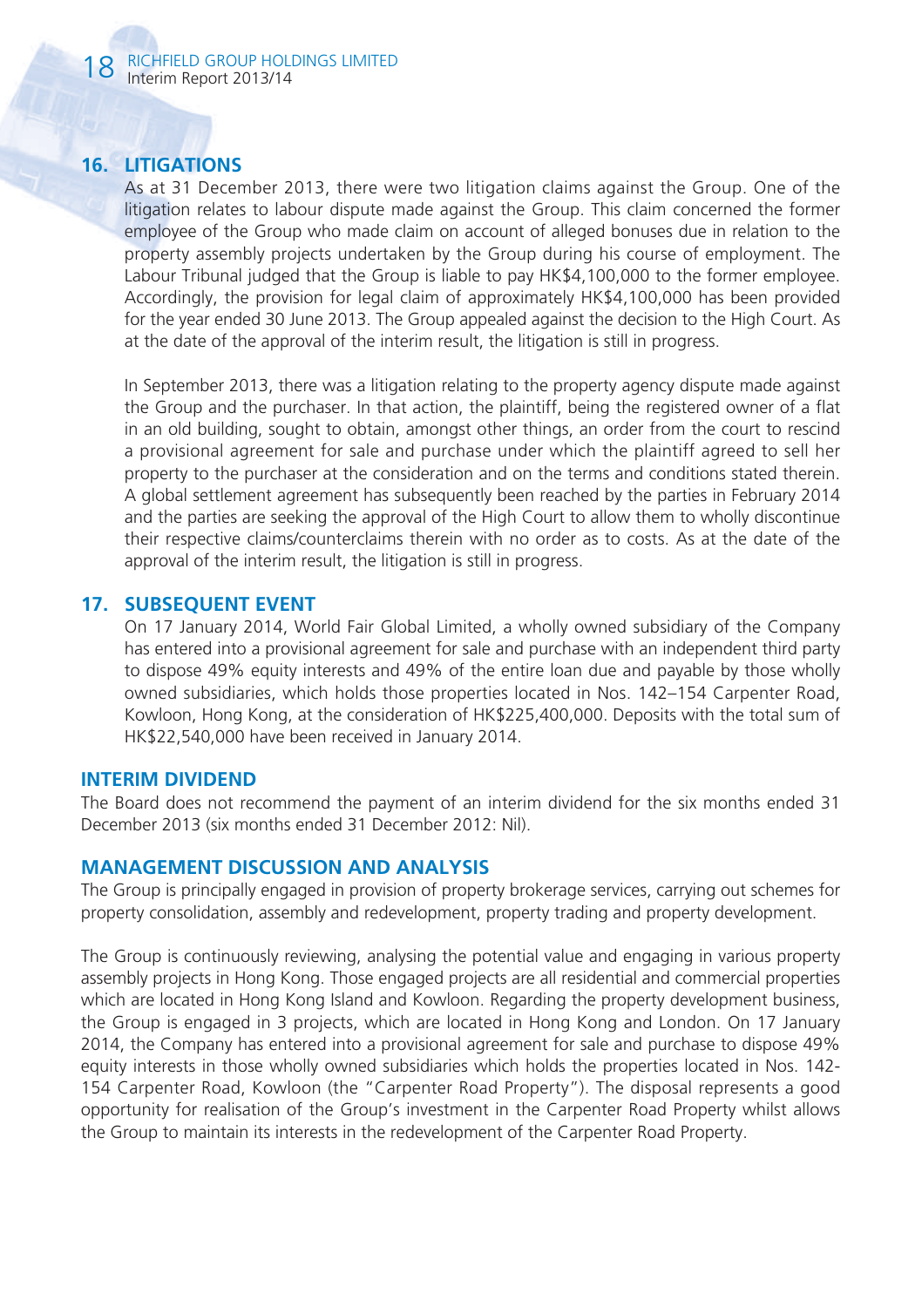# **16. LITIGATIONS**

As at 31 December 2013, there were two litigation claims against the Group. One of the litigation relates to labour dispute made against the Group. This claim concerned the former employee of the Group who made claim on account of alleged bonuses due in relation to the property assembly projects undertaken by the Group during his course of employment. The Labour Tribunal judged that the Group is liable to pay HK\$4,100,000 to the former employee. Accordingly, the provision for legal claim of approximately HK\$4,100,000 has been provided for the year ended 30 June 2013. The Group appealed against the decision to the High Court. As at the date of the approval of the interim result, the litigation is still in progress.

In September 2013, there was a litigation relating to the property agency dispute made against the Group and the purchaser. In that action, the plaintiff, being the registered owner of a flat in an old building, sought to obtain, amongst other things, an order from the court to rescind a provisional agreement for sale and purchase under which the plaintiff agreed to sell her property to the purchaser at the consideration and on the terms and conditions stated therein. A global settlement agreement has subsequently been reached by the parties in February 2014 and the parties are seeking the approval of the High Court to allow them to wholly discontinue their respective claims/counterclaims therein with no order as to costs. As at the date of the approval of the interim result, the litigation is still in progress.

## **17. SUBSEQUENT EVENT**

On 17 January 2014, World Fair Global Limited, a wholly owned subsidiary of the Company has entered into a provisional agreement for sale and purchase with an independent third party to dispose 49% equity interests and 49% of the entire loan due and payable by those wholly owned subsidiaries, which holds those properties located in Nos. 142–154 Carpenter Road, Kowloon, Hong Kong, at the consideration of HK\$225,400,000. Deposits with the total sum of HK\$22,540,000 have been received in January 2014.

#### **INTERIM DIVIDEND**

The Board does not recommend the payment of an interim dividend for the six months ended 31 December 2013 (six months ended 31 December 2012: Nil).

#### **MANAGEMENT DISCUSSION AND ANALYSIS**

The Group is principally engaged in provision of property brokerage services, carrying out schemes for property consolidation, assembly and redevelopment, property trading and property development.

The Group is continuously reviewing, analysing the potential value and engaging in various property assembly projects in Hong Kong. Those engaged projects are all residential and commercial properties which are located in Hong Kong Island and Kowloon. Regarding the property development business, the Group is engaged in 3 projects, which are located in Hong Kong and London. On 17 January 2014, the Company has entered into a provisional agreement for sale and purchase to dispose 49% equity interests in those wholly owned subsidiaries which holds the properties located in Nos. 142- 154 Carpenter Road, Kowloon (the "Carpenter Road Property"). The disposal represents a good opportunity for realisation of the Group's investment in the Carpenter Road Property whilst allows the Group to maintain its interests in the redevelopment of the Carpenter Road Property.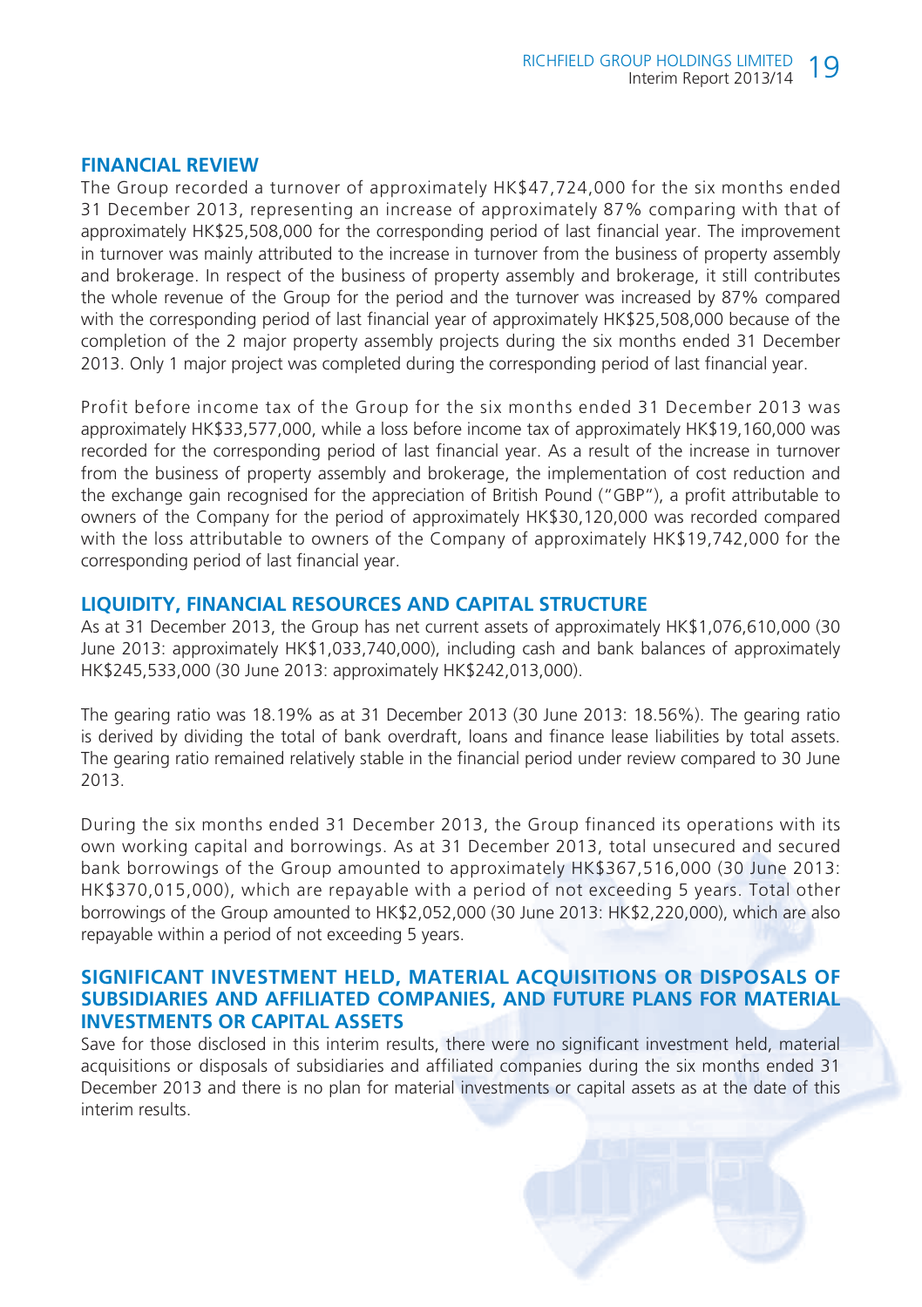#### **FINANCIAL REVIEW**

The Group recorded a turnover of approximately HK\$47,724,000 for the six months ended 31 December 2013, representing an increase of approximately 87% comparing with that of approximately HK\$25,508,000 for the corresponding period of last financial year. The improvement in turnover was mainly attributed to the increase in turnover from the business of property assembly and brokerage. In respect of the business of property assembly and brokerage, it still contributes the whole revenue of the Group for the period and the turnover was increased by 87% compared with the corresponding period of last financial year of approximately HK\$25,508,000 because of the completion of the 2 major property assembly projects during the six months ended 31 December 2013. Only 1 major project was completed during the corresponding period of last financial year.

Profit before income tax of the Group for the six months ended 31 December 2013 was approximately HK\$33,577,000, while a loss before income tax of approximately HK\$19,160,000 was recorded for the corresponding period of last financial year. As a result of the increase in turnover from the business of property assembly and brokerage, the implementation of cost reduction and the exchange gain recognised for the appreciation of British Pound ("GBP"), a profit attributable to owners of the Company for the period of approximately HK\$30,120,000 was recorded compared with the loss attributable to owners of the Company of approximately HK\$19,742,000 for the corresponding period of last financial year.

### **LIQUIDITY, FINANCIAL RESOURCES AND CAPITAL STRUCTURE**

As at 31 December 2013, the Group has net current assets of approximately HK\$1,076,610,000 (30 June 2013: approximately HK\$1,033,740,000), including cash and bank balances of approximately HK\$245,533,000 (30 June 2013: approximately HK\$242,013,000).

The gearing ratio was 18.19% as at 31 December 2013 (30 June 2013: 18.56%). The gearing ratio is derived by dividing the total of bank overdraft, loans and finance lease liabilities by total assets. The gearing ratio remained relatively stable in the financial period under review compared to 30 June 2013.

During the six months ended 31 December 2013, the Group financed its operations with its own working capital and borrowings. As at 31 December 2013, total unsecured and secured bank borrowings of the Group amounted to approximately HK\$367,516,000 (30 June 2013: HK\$370,015,000), which are repayable with a period of not exceeding 5 years. Total other borrowings of the Group amounted to HK\$2,052,000 (30 June 2013: HK\$2,220,000), which are also repayable within a period of not exceeding 5 years.

#### **SIGNIFICANT INVESTMENT HELD, MATERIAL ACQUISITIONS OR DISPOSALS OF SUBSIDIARIES AND AFFILIATED COMPANIES, AND FUTURE PLANS FOR MATERIAL INVESTMENTS OR CAPITAL ASSETS**

Save for those disclosed in this interim results, there were no significant investment held, material acquisitions or disposals of subsidiaries and affiliated companies during the six months ended 31 December 2013 and there is no plan for material investments or capital assets as at the date of this interim results.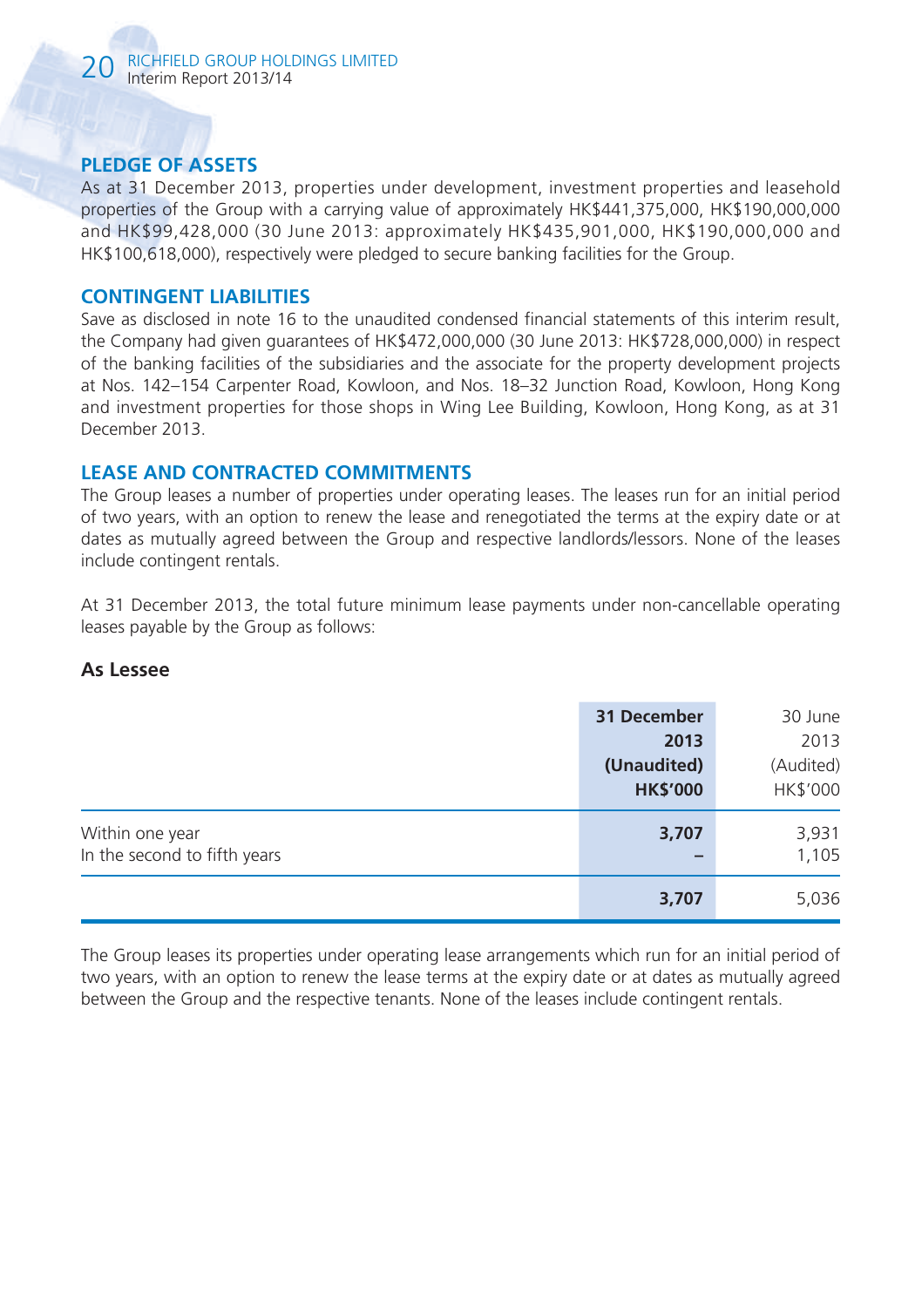# **PLEDGE OF ASSETS**

As at 31 December 2013, properties under development, investment properties and leasehold properties of the Group with a carrying value of approximately HK\$441,375,000, HK\$190,000,000 and HK\$99,428,000 (30 June 2013: approximately HK\$435,901,000, HK\$190,000,000 and HK\$100,618,000), respectively were pledged to secure banking facilities for the Group.

#### **CONTINGENT LIABILITIES**

Save as disclosed in note 16 to the unaudited condensed financial statements of this interim result, the Company had given guarantees of HK\$472,000,000 (30 June 2013: HK\$728,000,000) in respect of the banking facilities of the subsidiaries and the associate for the property development projects at Nos. 142–154 Carpenter Road, Kowloon, and Nos. 18–32 Junction Road, Kowloon, Hong Kong and investment properties for those shops in Wing Lee Building, Kowloon, Hong Kong, as at 31 December 2013.

## **LEASE AND CONTRACTED COMMITMENTS**

The Group leases a number of properties under operating leases. The leases run for an initial period of two years, with an option to renew the lease and renegotiated the terms at the expiry date or at dates as mutually agreed between the Group and respective landlords/lessors. None of the leases include contingent rentals.

At 31 December 2013, the total future minimum lease payments under non-cancellable operating leases payable by the Group as follows:

## **As Lessee**

|                                                 | 31 December<br>2013<br>(Unaudited)<br><b>HK\$'000</b> | 30 June<br>2013<br>(Audited)<br>HK\$'000 |
|-------------------------------------------------|-------------------------------------------------------|------------------------------------------|
| Within one year<br>In the second to fifth years | 3,707<br>-                                            | 3,931<br>1,105                           |
|                                                 | 3,707                                                 | 5,036                                    |

The Group leases its properties under operating lease arrangements which run for an initial period of two years, with an option to renew the lease terms at the expiry date or at dates as mutually agreed between the Group and the respective tenants. None of the leases include contingent rentals.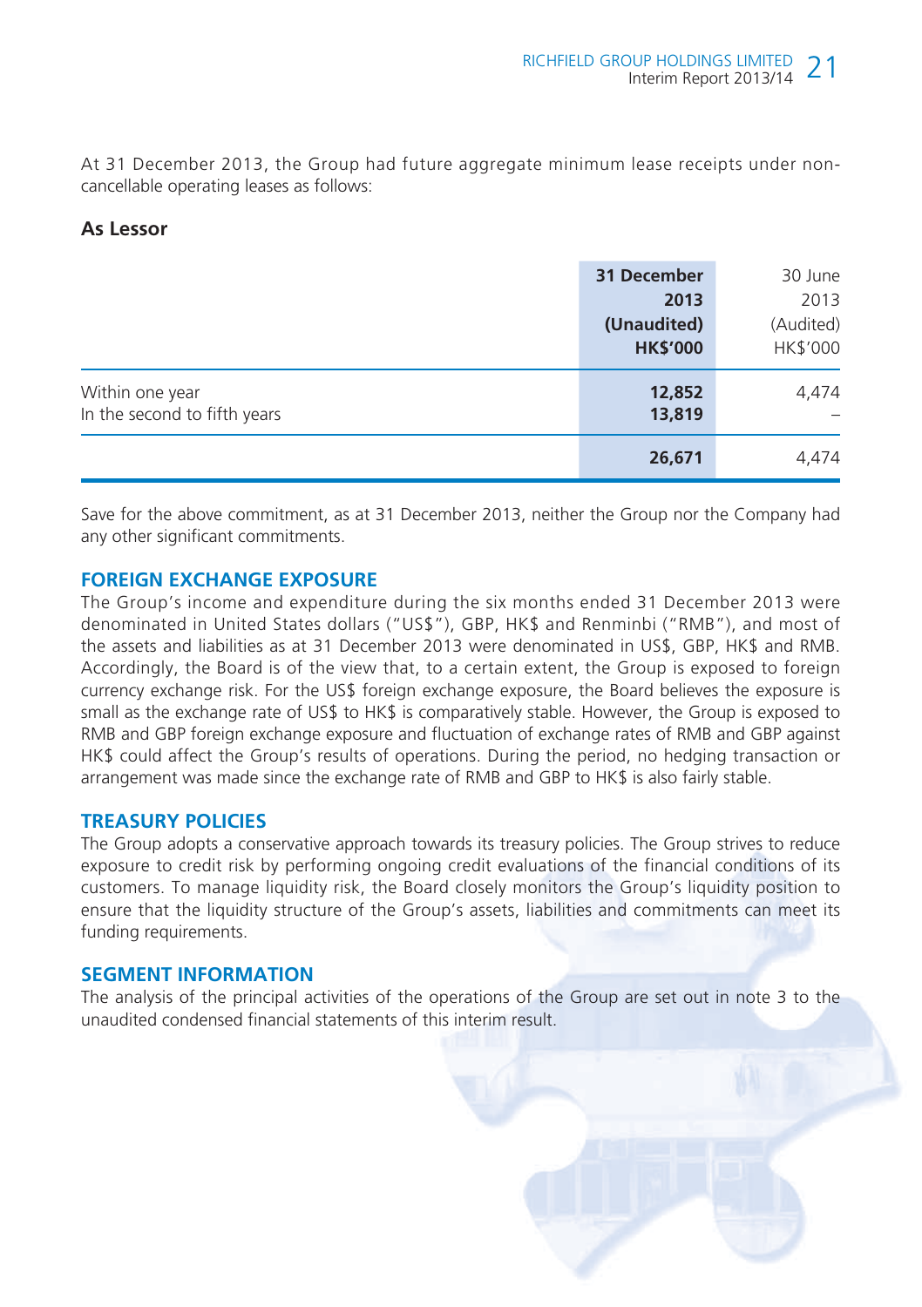At 31 December 2013, the Group had future aggregate minimum lease receipts under noncancellable operating leases as follows:

#### **As Lessor**

|                                                 | 31 December<br>2013<br>(Unaudited)<br><b>HK\$'000</b> | 30 June<br>2013<br>(Audited)<br>HK\$'000 |
|-------------------------------------------------|-------------------------------------------------------|------------------------------------------|
| Within one year<br>In the second to fifth years | 12,852<br>13,819                                      | 4,474                                    |
|                                                 | 26,671                                                | 4,474                                    |

Save for the above commitment, as at 31 December 2013, neither the Group nor the Company had any other significant commitments.

#### **FOREIGN EXCHANGE EXPOSURE**

The Group's income and expenditure during the six months ended 31 December 2013 were denominated in United States dollars ("US\$"), GBP, HK\$ and Renminbi ("RMB"), and most of the assets and liabilities as at 31 December 2013 were denominated in US\$, GBP, HK\$ and RMB. Accordingly, the Board is of the view that, to a certain extent, the Group is exposed to foreign currency exchange risk. For the US\$ foreign exchange exposure, the Board believes the exposure is small as the exchange rate of US\$ to HK\$ is comparatively stable. However, the Group is exposed to RMB and GBP foreign exchange exposure and fluctuation of exchange rates of RMB and GBP against HK\$ could affect the Group's results of operations. During the period, no hedging transaction or arrangement was made since the exchange rate of RMB and GBP to HK\$ is also fairly stable.

## **TREASURY POLICIES**

The Group adopts a conservative approach towards its treasury policies. The Group strives to reduce exposure to credit risk by performing ongoing credit evaluations of the financial conditions of its customers. To manage liquidity risk, the Board closely monitors the Group's liquidity position to ensure that the liquidity structure of the Group's assets, liabilities and commitments can meet its funding requirements.

#### **SEGMENT INFORMATION**

The analysis of the principal activities of the operations of the Group are set out in note 3 to the unaudited condensed financial statements of this interim result.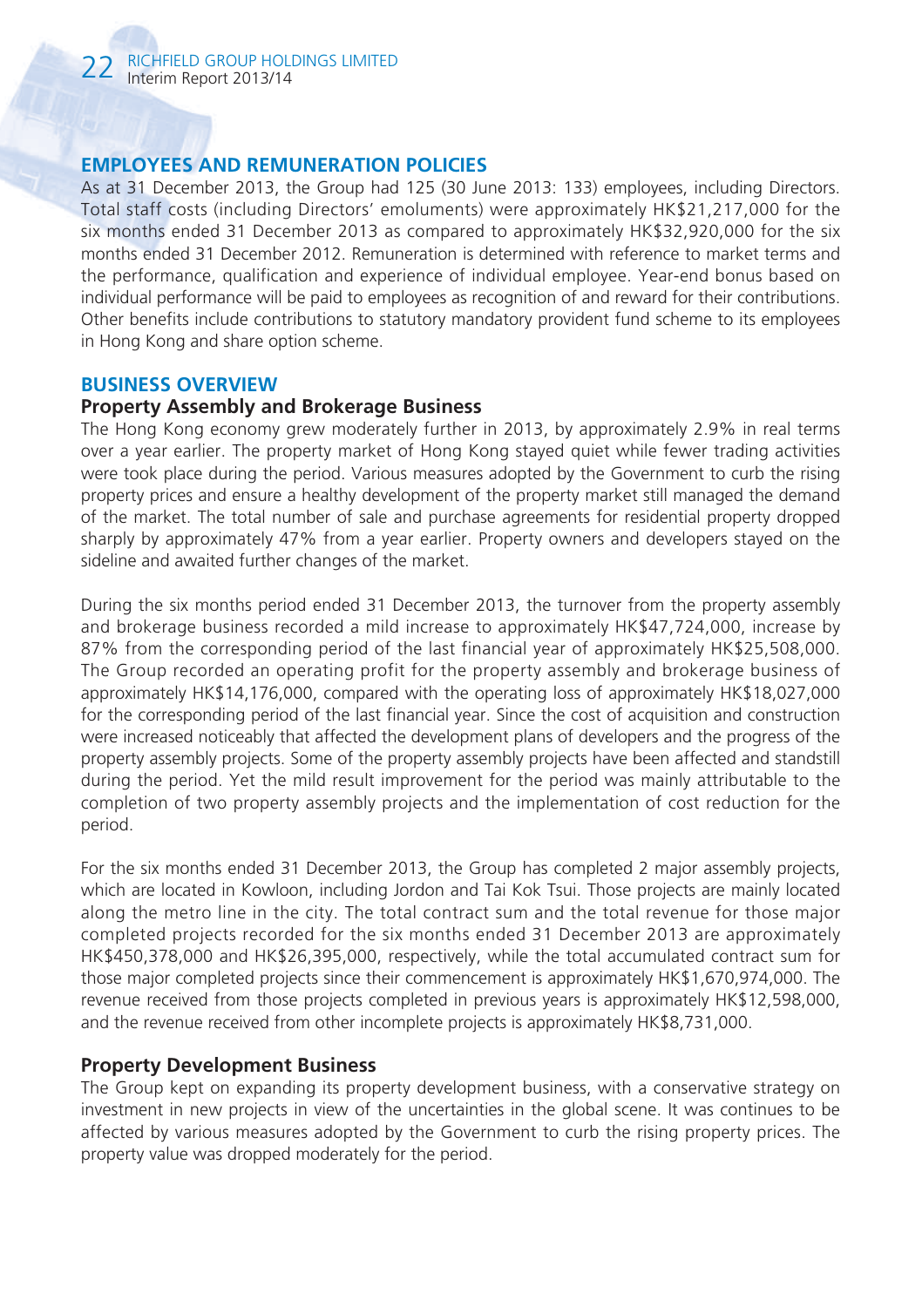## **EMPLOYEES AND REMUNERATION POLICIES**

As at 31 December 2013, the Group had 125 (30 June 2013: 133) employees, including Directors. Total staff costs (including Directors' emoluments) were approximately HK\$21,217,000 for the six months ended 31 December 2013 as compared to approximately HK\$32,920,000 for the six months ended 31 December 2012. Remuneration is determined with reference to market terms and the performance, qualification and experience of individual employee. Year-end bonus based on individual performance will be paid to employees as recognition of and reward for their contributions. Other benefits include contributions to statutory mandatory provident fund scheme to its employees in Hong Kong and share option scheme.

#### **BUSINESS OVERVIEW**

#### **Property Assembly and Brokerage Business**

The Hong Kong economy grew moderately further in 2013, by approximately 2.9% in real terms over a year earlier. The property market of Hong Kong stayed quiet while fewer trading activities were took place during the period. Various measures adopted by the Government to curb the rising property prices and ensure a healthy development of the property market still managed the demand of the market. The total number of sale and purchase agreements for residential property dropped sharply by approximately 47% from a year earlier. Property owners and developers stayed on the sideline and awaited further changes of the market.

During the six months period ended 31 December 2013, the turnover from the property assembly and brokerage business recorded a mild increase to approximately HK\$47,724,000, increase by 87% from the corresponding period of the last financial year of approximately HK\$25,508,000. The Group recorded an operating profit for the property assembly and brokerage business of approximately HK\$14,176,000, compared with the operating loss of approximately HK\$18,027,000 for the corresponding period of the last financial year. Since the cost of acquisition and construction were increased noticeably that affected the development plans of developers and the progress of the property assembly projects. Some of the property assembly projects have been affected and standstill during the period. Yet the mild result improvement for the period was mainly attributable to the completion of two property assembly projects and the implementation of cost reduction for the period.

For the six months ended 31 December 2013, the Group has completed 2 major assembly projects, which are located in Kowloon, including Jordon and Tai Kok Tsui. Those projects are mainly located along the metro line in the city. The total contract sum and the total revenue for those major completed projects recorded for the six months ended 31 December 2013 are approximately HK\$450,378,000 and HK\$26,395,000, respectively, while the total accumulated contract sum for those major completed projects since their commencement is approximately HK\$1,670,974,000. The revenue received from those projects completed in previous years is approximately HK\$12,598,000, and the revenue received from other incomplete projects is approximately HK\$8,731,000.

## **Property Development Business**

The Group kept on expanding its property development business, with a conservative strategy on investment in new projects in view of the uncertainties in the global scene. It was continues to be affected by various measures adopted by the Government to curb the rising property prices. The property value was dropped moderately for the period.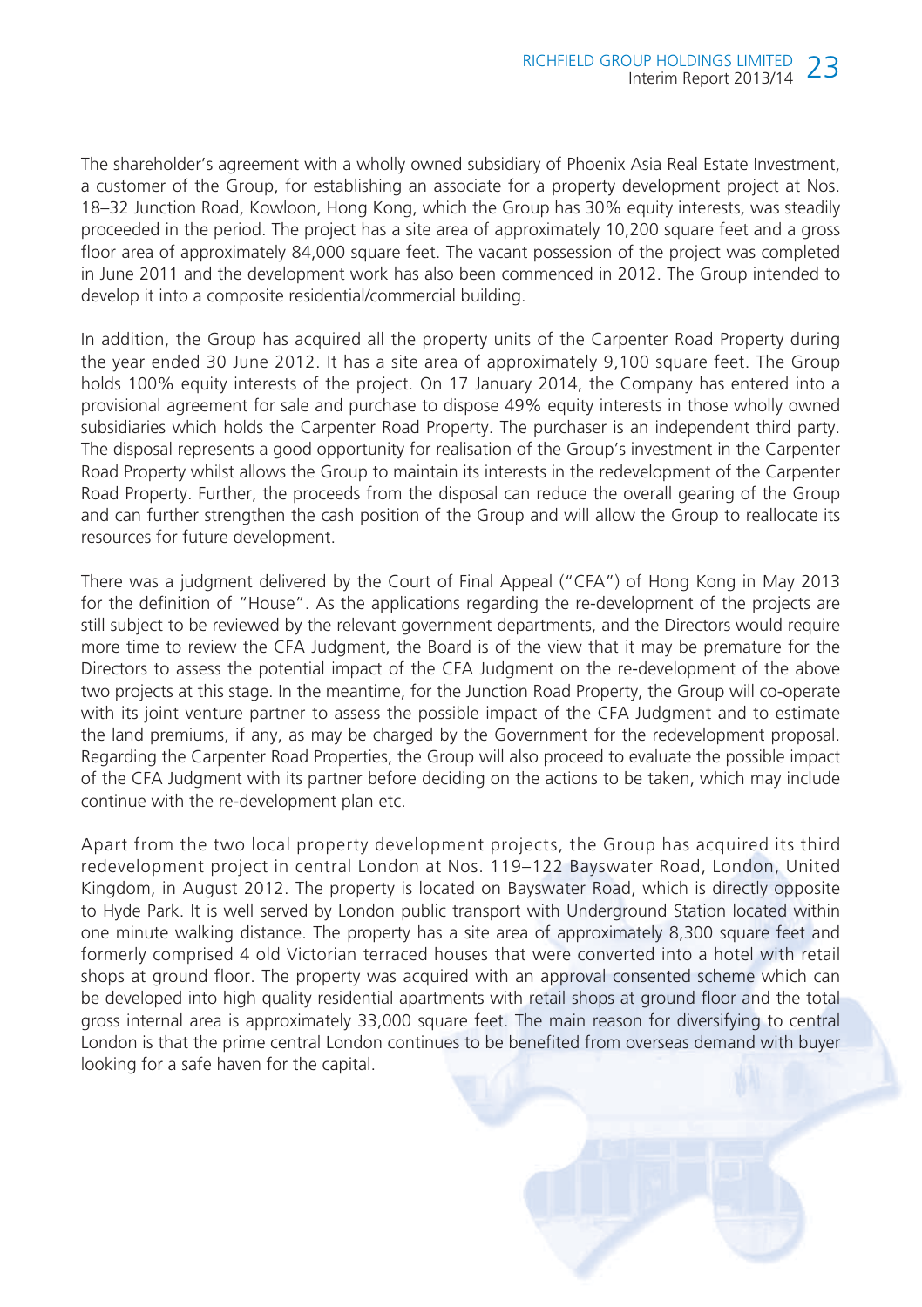The shareholder's agreement with a wholly owned subsidiary of Phoenix Asia Real Estate Investment, a customer of the Group, for establishing an associate for a property development project at Nos. 18–32 Junction Road, Kowloon, Hong Kong, which the Group has 30% equity interests, was steadily proceeded in the period. The project has a site area of approximately 10,200 square feet and a gross floor area of approximately 84,000 square feet. The vacant possession of the project was completed in June 2011 and the development work has also been commenced in 2012. The Group intended to develop it into a composite residential/commercial building.

In addition, the Group has acquired all the property units of the Carpenter Road Property during the year ended 30 June 2012. It has a site area of approximately 9,100 square feet. The Group holds 100% equity interests of the project. On 17 January 2014, the Company has entered into a provisional agreement for sale and purchase to dispose 49% equity interests in those wholly owned subsidiaries which holds the Carpenter Road Property. The purchaser is an independent third party. The disposal represents a good opportunity for realisation of the Group's investment in the Carpenter Road Property whilst allows the Group to maintain its interests in the redevelopment of the Carpenter Road Property. Further, the proceeds from the disposal can reduce the overall gearing of the Group and can further strengthen the cash position of the Group and will allow the Group to reallocate its resources for future development.

There was a judgment delivered by the Court of Final Appeal ("CFA") of Hong Kong in May 2013 for the definition of "House". As the applications regarding the re-development of the projects are still subject to be reviewed by the relevant government departments, and the Directors would require more time to review the CFA Judgment, the Board is of the view that it may be premature for the Directors to assess the potential impact of the CFA Judgment on the re-development of the above two projects at this stage. In the meantime, for the Junction Road Property, the Group will co-operate with its joint venture partner to assess the possible impact of the CFA Judgment and to estimate the land premiums, if any, as may be charged by the Government for the redevelopment proposal. Regarding the Carpenter Road Properties, the Group will also proceed to evaluate the possible impact of the CFA Judgment with its partner before deciding on the actions to be taken, which may include continue with the re-development plan etc.

Apart from the two local property development projects, the Group has acquired its third redevelopment project in central London at Nos. 119–122 Bayswater Road, London, United Kingdom, in August 2012. The property is located on Bayswater Road, which is directly opposite to Hyde Park. It is well served by London public transport with Underground Station located within one minute walking distance. The property has a site area of approximately 8,300 square feet and formerly comprised 4 old Victorian terraced houses that were converted into a hotel with retail shops at ground floor. The property was acquired with an approval consented scheme which can be developed into high quality residential apartments with retail shops at ground floor and the total gross internal area is approximately 33,000 square feet. The main reason for diversifying to central London is that the prime central London continues to be benefited from overseas demand with buyer looking for a safe haven for the capital.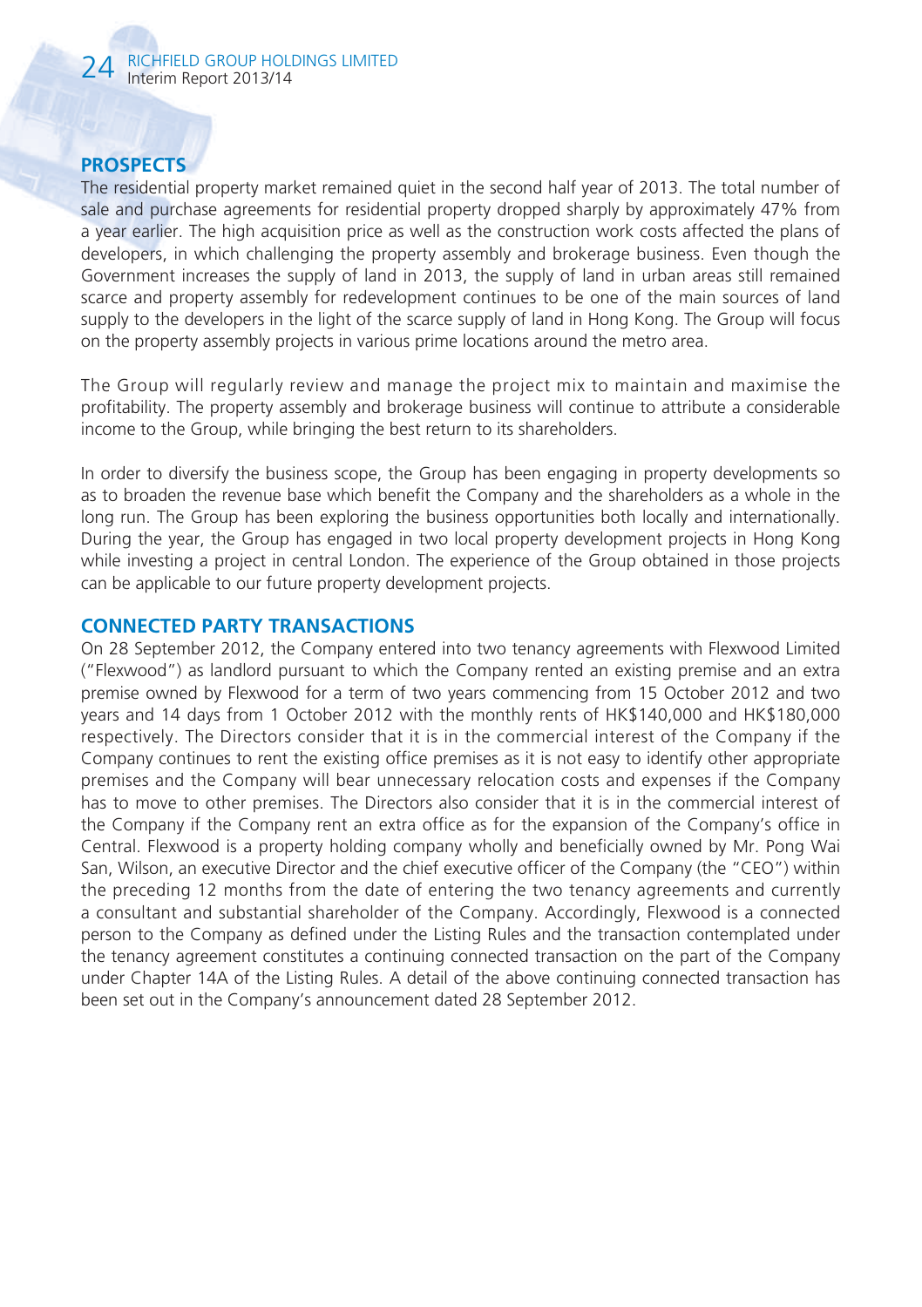# **PROSPECTS**

The residential property market remained quiet in the second half year of 2013. The total number of sale and purchase agreements for residential property dropped sharply by approximately 47% from a year earlier. The high acquisition price as well as the construction work costs affected the plans of developers, in which challenging the property assembly and brokerage business. Even though the Government increases the supply of land in 2013, the supply of land in urban areas still remained scarce and property assembly for redevelopment continues to be one of the main sources of land supply to the developers in the light of the scarce supply of land in Hong Kong. The Group will focus on the property assembly projects in various prime locations around the metro area.

The Group will regularly review and manage the project mix to maintain and maximise the profitability. The property assembly and brokerage business will continue to attribute a considerable income to the Group, while bringing the best return to its shareholders.

In order to diversify the business scope, the Group has been engaging in property developments so as to broaden the revenue base which benefit the Company and the shareholders as a whole in the long run. The Group has been exploring the business opportunities both locally and internationally. During the year, the Group has engaged in two local property development projects in Hong Kong while investing a project in central London. The experience of the Group obtained in those projects can be applicable to our future property development projects.

#### **CONNECTED PARTY TRANSACTIONS**

On 28 September 2012, the Company entered into two tenancy agreements with Flexwood Limited ("Flexwood") as landlord pursuant to which the Company rented an existing premise and an extra premise owned by Flexwood for a term of two years commencing from 15 October 2012 and two years and 14 days from 1 October 2012 with the monthly rents of HK\$140,000 and HK\$180,000 respectively. The Directors consider that it is in the commercial interest of the Company if the Company continues to rent the existing office premises as it is not easy to identify other appropriate premises and the Company will bear unnecessary relocation costs and expenses if the Company has to move to other premises. The Directors also consider that it is in the commercial interest of the Company if the Company rent an extra office as for the expansion of the Company's office in Central. Flexwood is a property holding company wholly and beneficially owned by Mr. Pong Wai San, Wilson, an executive Director and the chief executive officer of the Company (the "CEO") within the preceding 12 months from the date of entering the two tenancy agreements and currently a consultant and substantial shareholder of the Company. Accordingly, Flexwood is a connected person to the Company as defined under the Listing Rules and the transaction contemplated under the tenancy agreement constitutes a continuing connected transaction on the part of the Company under Chapter 14A of the Listing Rules. A detail of the above continuing connected transaction has been set out in the Company's announcement dated 28 September 2012.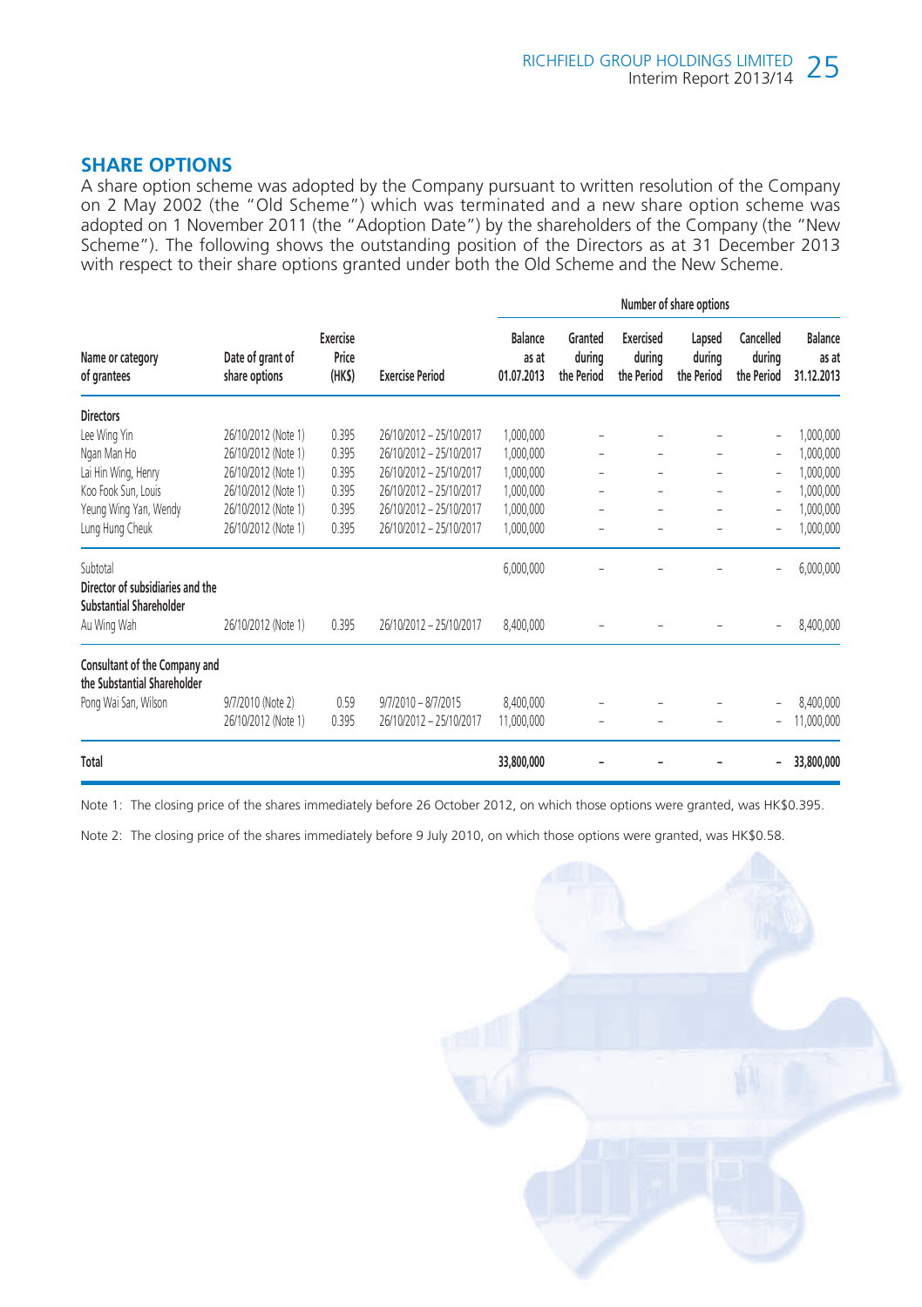# **SHARE OPTIONS**

A share option scheme was adopted by the Company pursuant to written resolution of the Company on 2 May 2002 (the "Old Scheme") which was terminated and a new share option scheme was adopted on 1 November 2011 (the "Adoption Date") by the shareholders of the Company (the "New Scheme"). The following shows the outstanding position of the Directors as at 31 December 2013 with respect to their share options granted under both the Old Scheme and the New Scheme.

|                                                                                |                                   |                            |                         | Number of share options        |                                 |                                   |                                |                                   |                                       |
|--------------------------------------------------------------------------------|-----------------------------------|----------------------------|-------------------------|--------------------------------|---------------------------------|-----------------------------------|--------------------------------|-----------------------------------|---------------------------------------|
| Name or category<br>of grantees                                                | Date of grant of<br>share options | Exercise<br>Price<br>(HKS) | <b>Exercise Period</b>  | Balance<br>as at<br>01.07.2013 | Granted<br>during<br>the Period | Exercised<br>during<br>the Period | Lapsed<br>during<br>the Period | Cancelled<br>during<br>the Period | <b>Balance</b><br>as at<br>31.12.2013 |
| <b>Directors</b>                                                               |                                   |                            |                         |                                |                                 |                                   |                                |                                   |                                       |
| Lee Wing Yin                                                                   | 26/10/2012 (Note 1)               | 0.395                      | 26/10/2012 - 25/10/2017 | 1,000,000                      |                                 |                                   | ۰                              | $\overline{a}$                    | 1,000,000                             |
| Ngan Man Ho                                                                    | 26/10/2012 (Note 1)               | 0.395                      | 26/10/2012 - 25/10/2017 | 1,000,000                      |                                 |                                   | -                              | ۰                                 | 1,000,000                             |
| Lai Hin Wing, Henry                                                            | 26/10/2012 (Note 1)               | 0.395                      | 26/10/2012 - 25/10/2017 | 1,000,000                      | ÷                               |                                   | -                              | ۰                                 | 1,000,000                             |
| Koo Fook Sun, Louis                                                            | 26/10/2012 (Note 1)               | 0.395                      | 26/10/2012 - 25/10/2017 | 1,000,000                      |                                 |                                   | -                              | ÷,                                | 1,000,000                             |
| Yeung Wing Yan, Wendy                                                          | 26/10/2012 (Note 1)               | 0.395                      | 26/10/2012 - 25/10/2017 | 1,000,000                      |                                 |                                   | -                              | -                                 | 1,000,000                             |
| Lung Hung Cheuk                                                                | 26/10/2012 (Note 1)               | 0.395                      | 26/10/2012 - 25/10/2017 | 1,000,000                      |                                 |                                   | ۰                              | -                                 | 1,000,000                             |
| Subtotal<br>Director of subsidiaries and the<br><b>Substantial Shareholder</b> |                                   |                            |                         | 6,000,000                      |                                 |                                   |                                | -                                 | 6,000,000                             |
| Au Wing Wah                                                                    | 26/10/2012 (Note 1)               | 0.395                      | 26/10/2012 - 25/10/2017 | 8,400,000                      |                                 |                                   |                                |                                   | 8,400,000                             |
| Consultant of the Company and<br>the Substantial Shareholder                   |                                   |                            |                         |                                |                                 |                                   |                                |                                   |                                       |
| Pong Wai San, Wilson                                                           | 9/7/2010 (Note 2)                 | 0.59                       | $9/7/2010 - 8/7/2015$   | 8,400,000                      | ÷                               |                                   |                                | -                                 | 8,400,000                             |
|                                                                                | 26/10/2012 (Note 1)               | 0.395                      | 26/10/2012 - 25/10/2017 | 11,000,000                     |                                 |                                   |                                | -                                 | 11,000,000                            |
| Total                                                                          |                                   |                            |                         | 33,800,000                     |                                 |                                   |                                | $\overline{\phantom{0}}$          | 33,800,000                            |

Note 1: The closing price of the shares immediately before 26 October 2012, on which those options were granted, was HK\$0.395.

Note 2: The closing price of the shares immediately before 9 July 2010, on which those options were granted, was HK\$0.58.

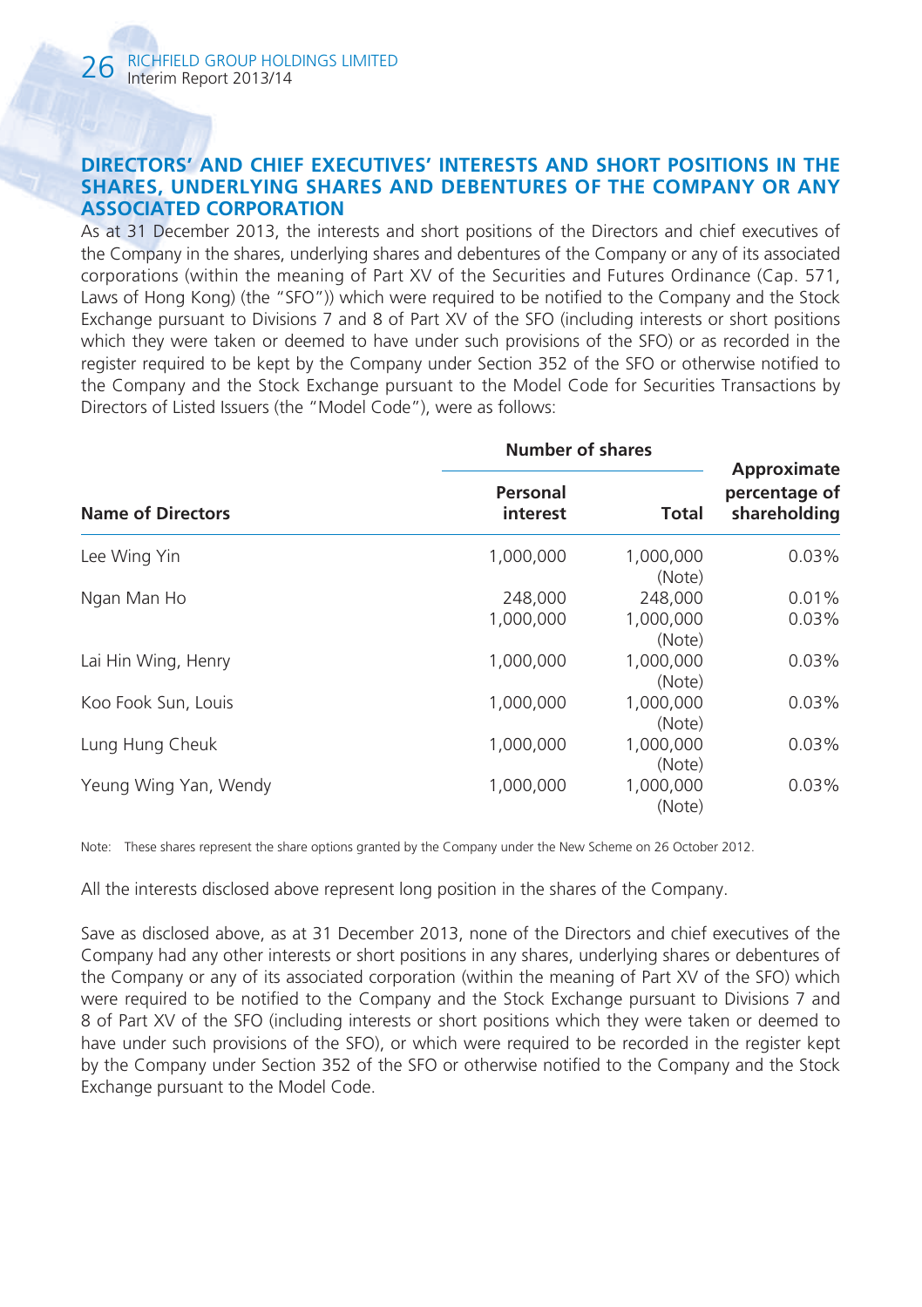#### **DIRECTORS' AND CHIEF EXECUTIVES' INTERESTS AND SHORT POSITIONS IN THE SHARES, UNDERLYING SHARES AND DEBENTURES OF THE COMPANY OR ANY ASSOCIATED CORPORATION**

As at 31 December 2013, the interests and short positions of the Directors and chief executives of the Company in the shares, underlying shares and debentures of the Company or any of its associated corporations (within the meaning of Part XV of the Securities and Futures Ordinance (Cap. 571, Laws of Hong Kong) (the "SFO")) which were required to be notified to the Company and the Stock Exchange pursuant to Divisions 7 and 8 of Part XV of the SFO (including interests or short positions which they were taken or deemed to have under such provisions of the SFO) or as recorded in the register required to be kept by the Company under Section 352 of the SFO or otherwise notified to the Company and the Stock Exchange pursuant to the Model Code for Securities Transactions by Directors of Listed Issuers (the "Model Code"), were as follows:

|                          | Number of shares     |                     |                                              |
|--------------------------|----------------------|---------------------|----------------------------------------------|
| <b>Name of Directors</b> | Personal<br>interest |                     | Approximate<br>percentage of<br>shareholding |
| Lee Wing Yin             | 1,000,000            | 1,000,000<br>(Note) | 0.03%                                        |
| Ngan Man Ho              | 248,000              | 248,000             | 0.01%                                        |
|                          | 1,000,000            | 1,000,000<br>(Note) | 0.03%                                        |
| Lai Hin Wing, Henry      | 1.000.000            | 1,000,000<br>(Note) | 0.03%                                        |
| Koo Fook Sun, Louis      | 1,000,000            | 1.000.000<br>(Note) | 0.03%                                        |
| Lung Hung Cheuk          | 1,000,000            | 1,000,000<br>(Note) | 0.03%                                        |
| Yeung Wing Yan, Wendy    | 1,000,000            | 1,000,000<br>(Note) | 0.03%                                        |

Note: These shares represent the share options granted by the Company under the New Scheme on 26 October 2012.

All the interests disclosed above represent long position in the shares of the Company.

Save as disclosed above, as at 31 December 2013, none of the Directors and chief executives of the Company had any other interests or short positions in any shares, underlying shares or debentures of the Company or any of its associated corporation (within the meaning of Part XV of the SFO) which were required to be notified to the Company and the Stock Exchange pursuant to Divisions 7 and 8 of Part XV of the SFO (including interests or short positions which they were taken or deemed to have under such provisions of the SFO), or which were required to be recorded in the register kept by the Company under Section 352 of the SFO or otherwise notified to the Company and the Stock Exchange pursuant to the Model Code.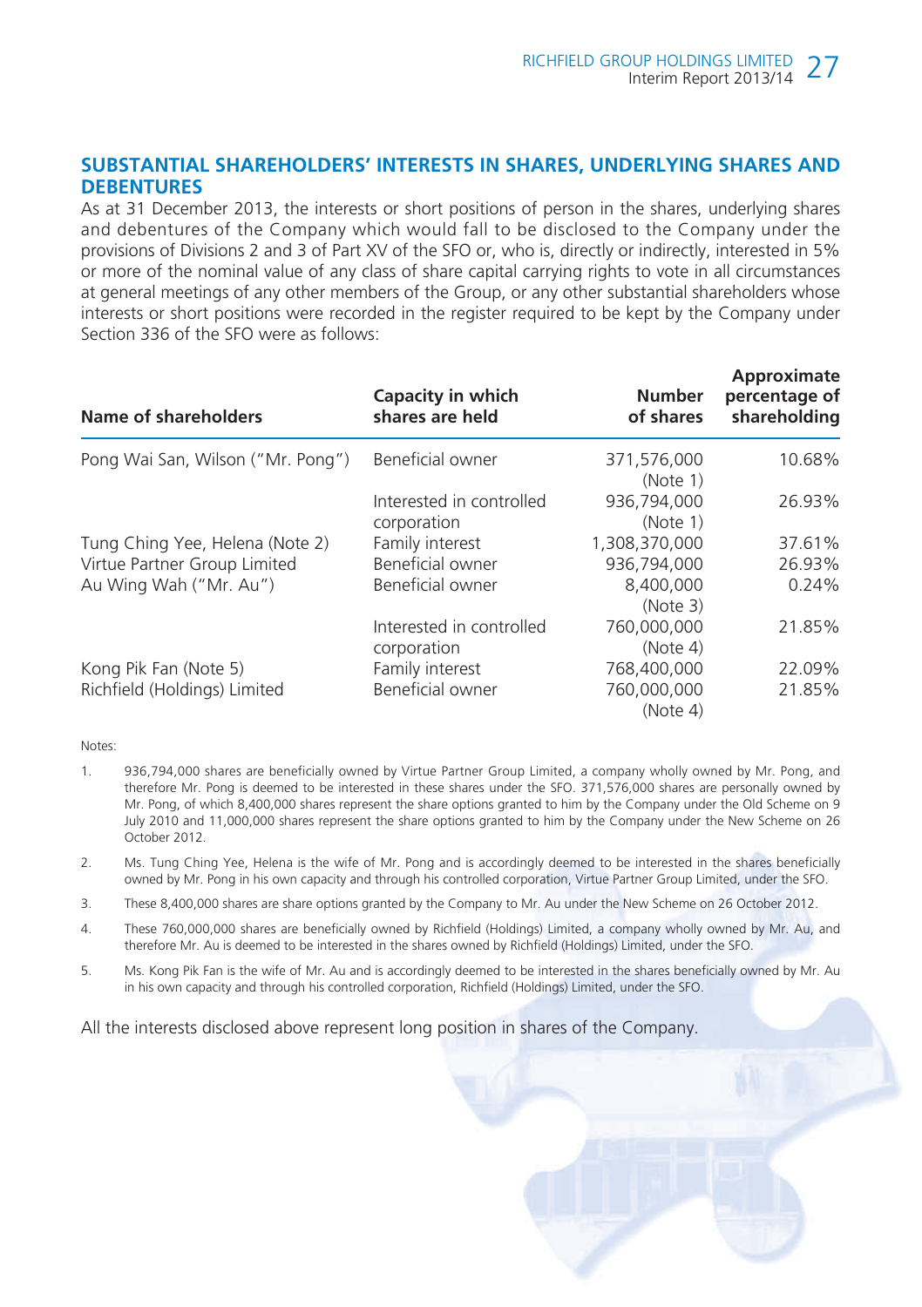#### **SUBSTANTIAL SHAREHOLDERS' INTERESTS IN SHARES, UNDERLYING SHARES AND DEBENTURES**

As at 31 December 2013, the interests or short positions of person in the shares, underlying shares and debentures of the Company which would fall to be disclosed to the Company under the provisions of Divisions 2 and 3 of Part XV of the SFO or, who is, directly or indirectly, interested in 5% or more of the nominal value of any class of share capital carrying rights to vote in all circumstances at general meetings of any other members of the Group, or any other substantial shareholders whose interests or short positions were recorded in the register required to be kept by the Company under Section 336 of the SFO were as follows:

| Name of shareholders              | Capacity in which<br>shares are held    | <b>Number</b><br>of shares | Approximate<br>percentage of<br>shareholding |
|-----------------------------------|-----------------------------------------|----------------------------|----------------------------------------------|
| Pong Wai San, Wilson ("Mr. Pong") | Beneficial owner                        | 371,576,000<br>(Note 1)    | 10.68%                                       |
|                                   | Interested in controlled<br>corporation | 936.794.000<br>(Note 1)    | 26.93%                                       |
| Tung Ching Yee, Helena (Note 2)   | Family interest                         | 1.308.370.000              | 37.61%                                       |
| Virtue Partner Group Limited      | Beneficial owner                        | 936,794,000                | 26.93%                                       |
| Au Wing Wah ("Mr. Au")            | Beneficial owner                        | 8,400,000<br>(Note 3)      | 0.24%                                        |
|                                   | Interested in controlled<br>corporation | 760,000,000<br>(Note 4)    | 21.85%                                       |
| Kong Pik Fan (Note 5)             | Family interest                         | 768,400,000                | 22.09%                                       |
| Richfield (Holdings) Limited      | Beneficial owner                        | 760,000,000<br>(Note 4)    | 21.85%                                       |

Notes:

- 1. 936,794,000 shares are beneficially owned by Virtue Partner Group Limited, a company wholly owned by Mr. Pong, and therefore Mr. Pong is deemed to be interested in these shares under the SFO. 371,576,000 shares are personally owned by Mr. Pong, of which 8,400,000 shares represent the share options granted to him by the Company under the Old Scheme on 9 July 2010 and 11,000,000 shares represent the share options granted to him by the Company under the New Scheme on 26 October 2012.
- 2. Ms. Tung Ching Yee, Helena is the wife of Mr. Pong and is accordingly deemed to be interested in the shares beneficially owned by Mr. Pong in his own capacity and through his controlled corporation, Virtue Partner Group Limited, under the SFO.
- 3. These 8,400,000 shares are share options granted by the Company to Mr. Au under the New Scheme on 26 October 2012.
- 4. These 760,000,000 shares are beneficially owned by Richfield (Holdings) Limited, a company wholly owned by Mr. Au, and therefore Mr. Au is deemed to be interested in the shares owned by Richfield (Holdings) Limited, under the SFO.
- 5. Ms. Kong Pik Fan is the wife of Mr. Au and is accordingly deemed to be interested in the shares beneficially owned by Mr. Au in his own capacity and through his controlled corporation, Richfield (Holdings) Limited, under the SFO.

All the interests disclosed above represent long position in shares of the Company.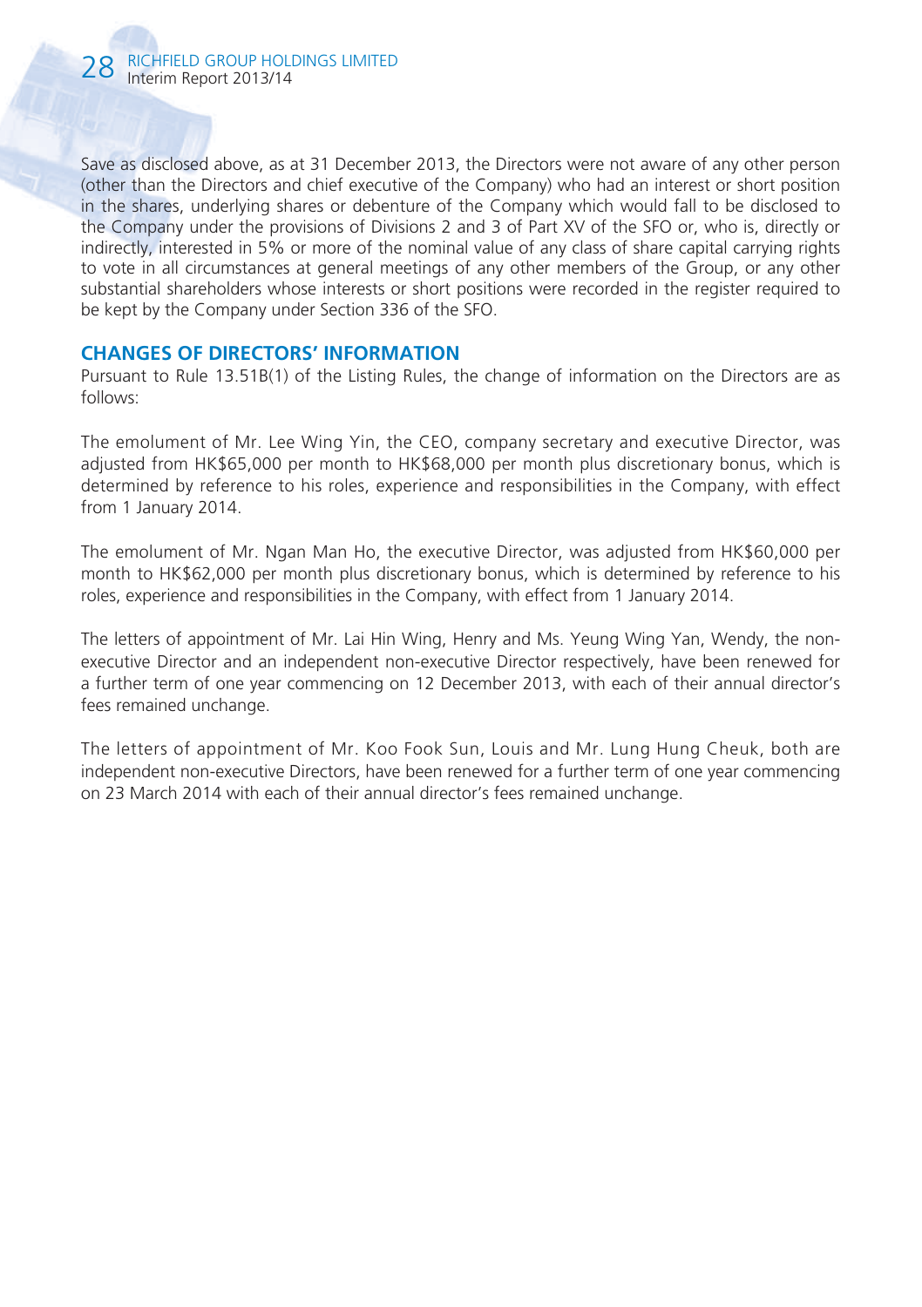Save as disclosed above, as at 31 December 2013, the Directors were not aware of any other person (other than the Directors and chief executive of the Company) who had an interest or short position in the shares, underlying shares or debenture of the Company which would fall to be disclosed to the Company under the provisions of Divisions 2 and 3 of Part XV of the SFO or, who is, directly or indirectly, interested in 5% or more of the nominal value of any class of share capital carrying rights to vote in all circumstances at general meetings of any other members of the Group, or any other substantial shareholders whose interests or short positions were recorded in the register required to be kept by the Company under Section 336 of the SFO.

#### **CHANGES OF DIRECTORS' INFORMATION**

Pursuant to Rule 13.51B(1) of the Listing Rules, the change of information on the Directors are as follows:

The emolument of Mr. Lee Wing Yin, the CEO, company secretary and executive Director, was adjusted from HK\$65,000 per month to HK\$68,000 per month plus discretionary bonus, which is determined by reference to his roles, experience and responsibilities in the Company, with effect from 1 January 2014.

The emolument of Mr. Ngan Man Ho, the executive Director, was adjusted from HK\$60,000 per month to HK\$62,000 per month plus discretionary bonus, which is determined by reference to his roles, experience and responsibilities in the Company, with effect from 1 January 2014.

The letters of appointment of Mr. Lai Hin Wing, Henry and Ms. Yeung Wing Yan, Wendy, the nonexecutive Director and an independent non-executive Director respectively, have been renewed for a further term of one year commencing on 12 December 2013, with each of their annual director's fees remained unchange.

The letters of appointment of Mr. Koo Fook Sun, Louis and Mr. Lung Hung Cheuk, both are independent non-executive Directors, have been renewed for a further term of one year commencing on 23 March 2014 with each of their annual director's fees remained unchange.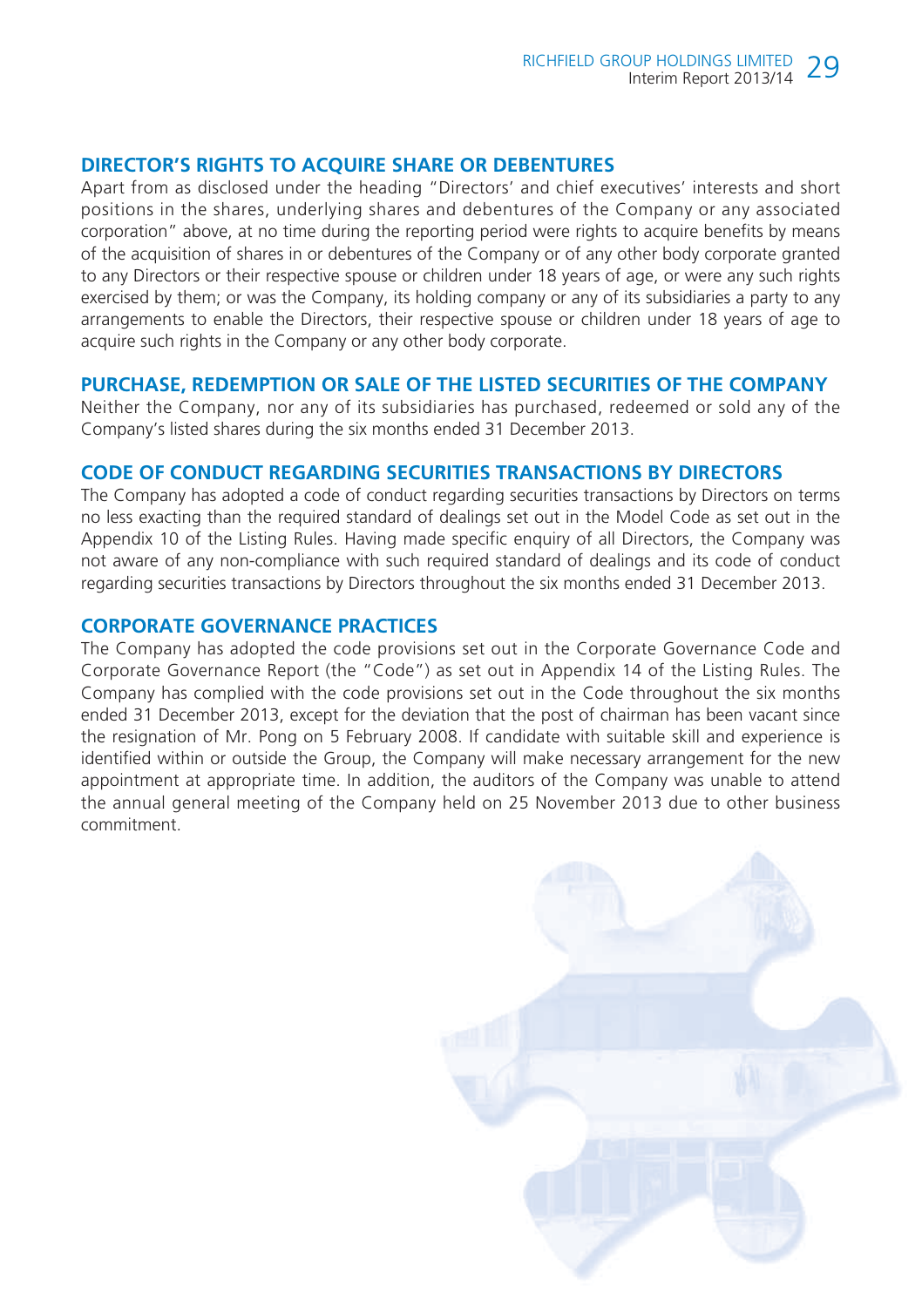#### **DIRECTOR'S RIGHTS TO ACQUIRE SHARE OR DEBENTURES**

Apart from as disclosed under the heading "Directors' and chief executives' interests and short positions in the shares, underlying shares and debentures of the Company or any associated corporation" above, at no time during the reporting period were rights to acquire benefits by means of the acquisition of shares in or debentures of the Company or of any other body corporate granted to any Directors or their respective spouse or children under 18 years of age, or were any such rights exercised by them; or was the Company, its holding company or any of its subsidiaries a party to any arrangements to enable the Directors, their respective spouse or children under 18 years of age to acquire such rights in the Company or any other body corporate.

#### **PURCHASE, REDEMPTION OR SALE OF THE LISTED SECURITIES OF THE COMPANY**

Neither the Company, nor any of its subsidiaries has purchased, redeemed or sold any of the Company's listed shares during the six months ended 31 December 2013.

## **CODE OF CONDUCT REGARDING SECURITIES TRANSACTIONS BY DIRECTORS**

The Company has adopted a code of conduct regarding securities transactions by Directors on terms no less exacting than the required standard of dealings set out in the Model Code as set out in the Appendix 10 of the Listing Rules. Having made specific enquiry of all Directors, the Company was not aware of any non-compliance with such required standard of dealings and its code of conduct regarding securities transactions by Directors throughout the six months ended 31 December 2013.

#### **CORPORATE GOVERNANCE PRACTICES**

The Company has adopted the code provisions set out in the Corporate Governance Code and Corporate Governance Report (the "Code") as set out in Appendix 14 of the Listing Rules. The Company has complied with the code provisions set out in the Code throughout the six months ended 31 December 2013, except for the deviation that the post of chairman has been vacant since the resignation of Mr. Pong on 5 February 2008. If candidate with suitable skill and experience is identified within or outside the Group, the Company will make necessary arrangement for the new appointment at appropriate time. In addition, the auditors of the Company was unable to attend the annual general meeting of the Company held on 25 November 2013 due to other business commitment.

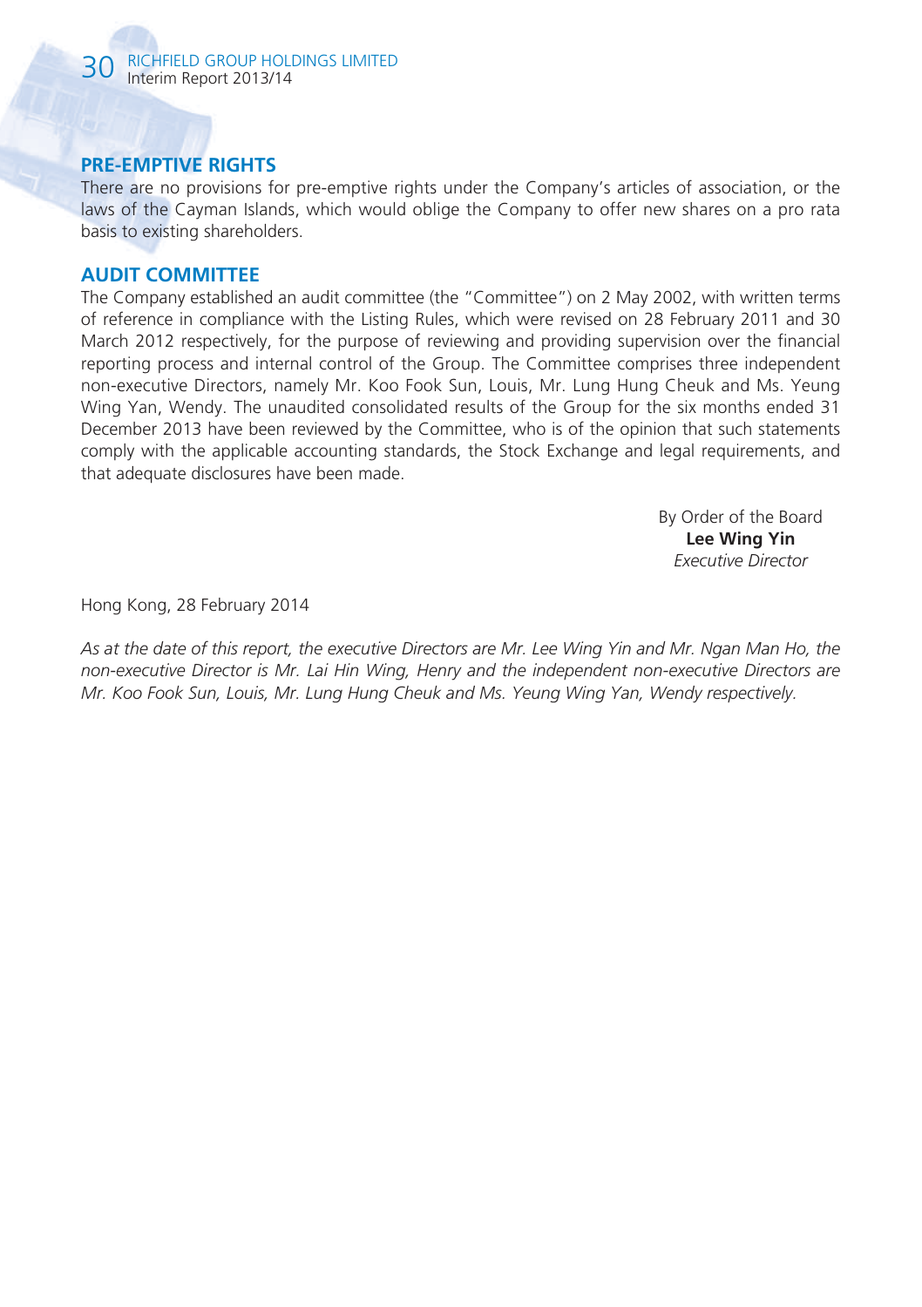# **PRE-EMPTIVE RIGHTS**

There are no provisions for pre-emptive rights under the Company's articles of association, or the laws of the Cayman Islands, which would oblige the Company to offer new shares on a pro rata basis to existing shareholders.

## **AUDIT COMMITTEE**

The Company established an audit committee (the "Committee") on 2 May 2002, with written terms of reference in compliance with the Listing Rules, which were revised on 28 February 2011 and 30 March 2012 respectively, for the purpose of reviewing and providing supervision over the financial reporting process and internal control of the Group. The Committee comprises three independent non-executive Directors, namely Mr. Koo Fook Sun, Louis, Mr. Lung Hung Cheuk and Ms. Yeung Wing Yan, Wendy. The unaudited consolidated results of the Group for the six months ended 31 December 2013 have been reviewed by the Committee, who is of the opinion that such statements comply with the applicable accounting standards, the Stock Exchange and legal requirements, and that adequate disclosures have been made.

> By Order of the Board **Lee Wing Yin** *Executive Director*

Hong Kong, 28 February 2014

*As at the date of this report, the executive Directors are Mr. Lee Wing Yin and Mr. Ngan Man Ho, the non-executive Director is Mr. Lai Hin Wing, Henry and the independent non-executive Directors are Mr. Koo Fook Sun, Louis, Mr. Lung Hung Cheuk and Ms. Yeung Wing Yan, Wendy respectively.*